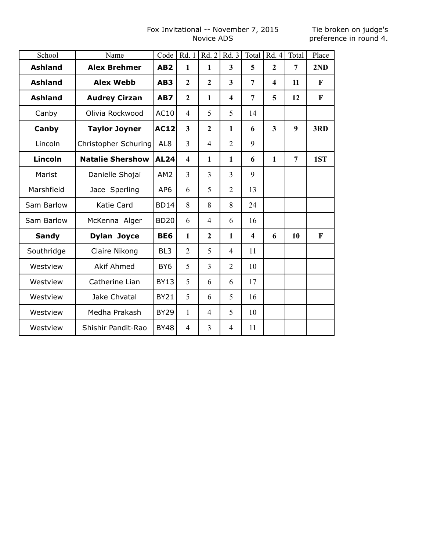# Fox Invitational -- November 7, 2015 Novice ADS

Tie broken on judge's preference in round 4.

| School         | Name                    | Code            | Rd. 1                   | Rd. 2          | Rd. 3                   | Total                   | Rd. 4          | Total          | Place                     |
|----------------|-------------------------|-----------------|-------------------------|----------------|-------------------------|-------------------------|----------------|----------------|---------------------------|
| <b>Ashland</b> | <b>Alex Brehmer</b>     | AB <sub>2</sub> | 1                       | $\mathbf{1}$   | $\overline{\mathbf{3}}$ | 5                       | $\overline{2}$ | $\overline{7}$ | 2ND                       |
| <b>Ashland</b> | <b>Alex Webb</b>        | AB <sub>3</sub> | $\overline{2}$          | $\overline{2}$ | $\overline{\mathbf{3}}$ | $\overline{7}$          | 4              | 11             | F                         |
| <b>Ashland</b> | <b>Audrey Cirzan</b>    | AB7             | $\overline{2}$          | $\mathbf{1}$   | $\overline{\mathbf{4}}$ | $\overline{7}$          | 5              | 12             | F                         |
| Canby          | Olivia Rockwood         | AC10            | $\overline{4}$          | 5              | 5                       | 14                      |                |                |                           |
| Canby          | <b>Taylor Joyner</b>    | <b>AC12</b>     | $\overline{\mathbf{3}}$ | $\overline{2}$ | $\mathbf{1}$            | 6                       | 3              | 9              | 3RD                       |
| Lincoln        | Christopher Schuring    | AL <sub>8</sub> | 3                       | $\overline{4}$ | $\overline{2}$          | 9                       |                |                |                           |
| <b>Lincoln</b> | <b>Natalie Shershow</b> | <b>AL24</b>     | $\overline{\mathbf{4}}$ | $\mathbf{1}$   | 1                       | 6                       | 1              | $\overline{7}$ | 1ST                       |
| Marist         | Danielle Shojai         | AM <sub>2</sub> | $\overline{3}$          | $\overline{3}$ | $\overline{3}$          | 9                       |                |                |                           |
| Marshfield     | Jace Sperling           | AP <sub>6</sub> | 6                       | 5              | $\overline{2}$          | 13                      |                |                |                           |
| Sam Barlow     | Katie Card              | <b>BD14</b>     | 8                       | 8              | 8                       | 24                      |                |                |                           |
| Sam Barlow     | McKenna Alger           | <b>BD20</b>     | 6                       | $\overline{4}$ | 6                       | 16                      |                |                |                           |
| <b>Sandy</b>   | <b>Dylan Joyce</b>      | BE6             | $\mathbf{1}$            | $\overline{2}$ | $\mathbf{1}$            | $\overline{\mathbf{4}}$ | 6              | 10             | $\boldsymbol{\mathrm{F}}$ |
| Southridge     | Claire Nikong           | BL <sub>3</sub> | $\overline{2}$          | 5              | $\overline{4}$          | 11                      |                |                |                           |
| Westview       | <b>Akif Ahmed</b>       | BY <sub>6</sub> | 5                       | 3              | $\overline{2}$          | 10                      |                |                |                           |
| Westview       | Catherine Lian          | <b>BY13</b>     | 5                       | 6              | 6                       | 17                      |                |                |                           |
| Westview       | Jake Chvatal            | <b>BY21</b>     | 5                       | 6              | 5                       | 16                      |                |                |                           |
| Westview       | Medha Prakash           | <b>BY29</b>     | 1                       | 4              | 5                       | 10                      |                |                |                           |
| Westview       | Shishir Pandit-Rao      | <b>BY48</b>     | $\overline{4}$          | 3              | $\overline{4}$          | 11                      |                |                |                           |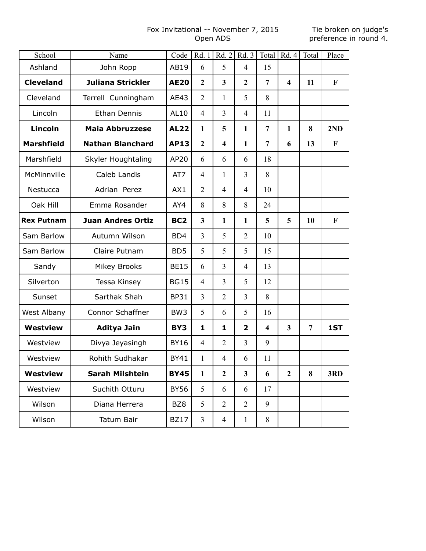# Fox Invitational -- November 7, 2015 Open ADS

#### Tie broken on judge's preference in round 4.

| School            | Name                     | Code             | Rd.1                    | Rd.2             | Rd.3           | Total                   | Rd. 4                   | Total          | Place       |
|-------------------|--------------------------|------------------|-------------------------|------------------|----------------|-------------------------|-------------------------|----------------|-------------|
| Ashland           | John Ropp                | AB19             | 6                       | 5                | $\overline{4}$ | 15                      |                         |                |             |
| <b>Cleveland</b>  | <b>Juliana Strickler</b> | <b>AE20</b>      | $\overline{2}$          | 3                | $\overline{2}$ | $\overline{7}$          | $\overline{\mathbf{4}}$ | 11             | $\mathbf F$ |
| Cleveland         | Terrell Cunningham       | AE43             | $\overline{2}$          | 1                | 5              | 8                       |                         |                |             |
| Lincoln           | Ethan Dennis             | AL10             | $\overline{4}$          | 3                | $\overline{4}$ | 11                      |                         |                |             |
| Lincoln           | <b>Maia Abbruzzese</b>   | <b>AL22</b>      | $\mathbf{1}$            | 5                | 1              | $\overline{7}$          | 1                       | 8              | 2ND         |
| <b>Marshfield</b> | <b>Nathan Blanchard</b>  | <b>AP13</b>      | $\boldsymbol{2}$        | 4                | 1              | $\overline{7}$          | 6                       | 13             | $\mathbf F$ |
| Marshfield        | Skyler Houghtaling       | AP20             | 6                       | 6                | 6              | 18                      |                         |                |             |
| McMinnville       | Caleb Landis             | AT7              | $\overline{4}$          | $\mathbf{1}$     | 3              | 8                       |                         |                |             |
| Nestucca          | Adrian Perez             | AX1              | $\overline{2}$          | $\overline{4}$   | $\overline{4}$ | 10                      |                         |                |             |
| Oak Hill          | Emma Rosander            | AY4              | 8                       | 8                | 8              | 24                      |                         |                |             |
| <b>Rex Putnam</b> | <b>Juan Andres Ortiz</b> | BC <sub>2</sub>  | $\overline{\mathbf{3}}$ | $\mathbf{1}$     | 1              | 5                       | 5                       | 10             | F           |
| Sam Barlow        | Autumn Wilson            | B <sub>D</sub> 4 | 3                       | 5                | $\overline{2}$ | 10                      |                         |                |             |
| Sam Barlow        | Claire Putnam            | BD <sub>5</sub>  | 5                       | 5                | 5              | 15                      |                         |                |             |
| Sandy             | <b>Mikey Brooks</b>      | <b>BE15</b>      | 6                       | 3                | $\overline{4}$ | 13                      |                         |                |             |
| Silverton         | Tessa Kinsey             | <b>BG15</b>      | $\overline{4}$          | 3                | 5              | 12                      |                         |                |             |
| Sunset            | Sarthak Shah             | <b>BP31</b>      | 3                       | $\overline{2}$   | 3              | 8                       |                         |                |             |
| West Albany       | Connor Schaffner         | BW <sub>3</sub>  | 5                       | 6                | 5              | 16                      |                         |                |             |
| <b>Westview</b>   | <b>Aditya Jain</b>       | BY3              | 1                       | 1                | $\overline{2}$ | $\overline{\mathbf{4}}$ | $\overline{\mathbf{3}}$ | $\overline{7}$ | 1ST         |
| Westview          | Divya Jeyasingh          | <b>BY16</b>      | $\overline{4}$          | $\overline{2}$   | 3              | 9                       |                         |                |             |
| Westview          | Rohith Sudhakar          | <b>BY41</b>      | 1                       | $\overline{4}$   | 6              | 11                      |                         |                |             |
| <b>Westview</b>   | Sarah Milshtein          | <b>BY45</b>      | 1                       | $\boldsymbol{2}$ | 3              | 6                       | $\mathbf{2}$            | 8              | 3RD         |
| Westview          | Suchith Otturu           | <b>BY56</b>      | 5                       | 6                | 6              | 17                      |                         |                |             |
| Wilson            | Diana Herrera            | BZ8              | 5                       | $\overline{2}$   | $\overline{2}$ | 9                       |                         |                |             |
| Wilson            | Tatum Bair               | <b>BZ17</b>      | $\mathfrak{Z}$          | 4                | $\mathbf{1}$   | $8\,$                   |                         |                |             |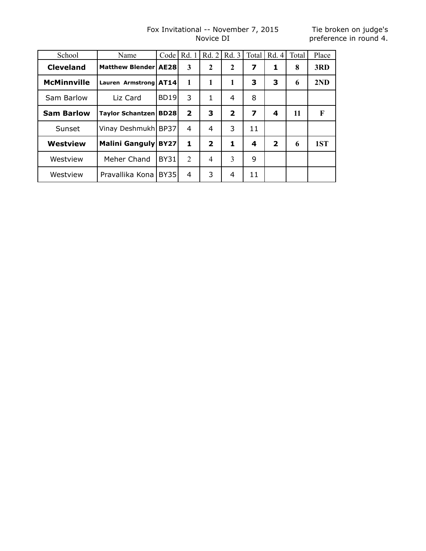# Fox Invitational -- November 7, 2015 Novice DI

Tie broken on judge's preference in round 4.

| School             | Name                            | Code        | Rd. 1          | Rd.2                    | Rd.3                    | Total | Rd.4                    | Total | Place |
|--------------------|---------------------------------|-------------|----------------|-------------------------|-------------------------|-------|-------------------------|-------|-------|
| <b>Cleveland</b>   | Matthew Blender   AE28          |             | 3              | $\mathbf{2}$            | $\mathbf{2}$            | 7     | 1                       | 8     | 3RD   |
| <b>McMinnville</b> | Lauren Armstrong   AT14         |             | 1              | 1                       | 1                       | 3     | 3                       | 6     | 2ND   |
| Sam Barlow         | Liz Card                        | <b>BD19</b> | 3              | 1                       | 4                       | 8     |                         |       |       |
| <b>Sam Barlow</b>  | <b>Taylor Schantzen   BD28 </b> |             | $\overline{2}$ | 3                       | $\overline{\mathbf{2}}$ | 7     | 4                       | 11    | F     |
| Sunset             | Vinay Deshmukh   BP37           |             | 4              | 4                       | 3                       | 11    |                         |       |       |
| Westview           | Malini Ganguly BY27             |             | 1              | $\overline{\mathbf{2}}$ | 1                       | 4     | $\overline{\mathbf{2}}$ | 6     | 1ST   |
| Westview           | Meher Chand                     | <b>BY31</b> | 2              | 4                       | 3                       | 9     |                         |       |       |
| Westview           | Pravallika Kona                 | <b>BY35</b> | 4              | 3                       | 4                       | 11    |                         |       |       |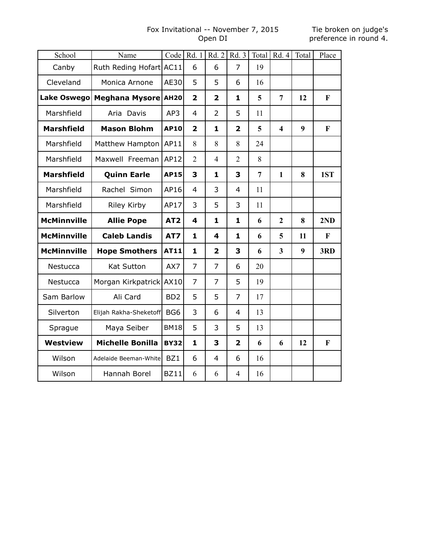#### Fox Invitational -- November 7, 2015 Open DI

| School             | Name                    |                 | Code   Rd. 1            | Rd.2                    | Rd.3           | Total          | Rd.4                    | Total | Place        |
|--------------------|-------------------------|-----------------|-------------------------|-------------------------|----------------|----------------|-------------------------|-------|--------------|
| Canby              | Ruth Reding Hofart AC11 |                 | 6                       | 6                       | 7              | 19             |                         |       |              |
| Cleveland          | Monica Arnone           | AE30            | 5                       | 5                       | 6              | 16             |                         |       |              |
| <b>Lake Oswego</b> | Meghana Mysore AH20     |                 | $\overline{\mathbf{2}}$ | $\overline{\mathbf{2}}$ | 1              | 5              | $\overline{7}$          | 12    | F            |
| Marshfield         | Aria Davis              | AP3             | $\overline{4}$          | 2                       | 5              | 11             |                         |       |              |
| <b>Marshfield</b>  | <b>Mason Blohm</b>      | <b>AP10</b>     | $\overline{\mathbf{2}}$ | 1                       | $\overline{2}$ | 5              | $\overline{\mathbf{4}}$ | 9     | $\mathbf{F}$ |
| Marshfield         | Matthew Hampton         | AP11            | 8                       | 8                       | 8              | 24             |                         |       |              |
| Marshfield         | Maxwell Freeman         | AP12            | $\overline{2}$          | $\overline{4}$          | $\overline{2}$ | 8              |                         |       |              |
| <b>Marshfield</b>  | <b>Quinn Earle</b>      | <b>AP15</b>     | 3                       | 1                       | 3              | $\overline{7}$ | $\mathbf{1}$            | 8     | 1ST          |
| Marshfield         | Rachel Simon            | AP16            | $\overline{4}$          | 3                       | $\overline{4}$ | 11             |                         |       |              |
| Marshfield         | <b>Riley Kirby</b>      | AP17            | 3                       | 5                       | 3              | 11             |                         |       |              |
| <b>McMinnville</b> | <b>Allie Pope</b>       | AT <sub>2</sub> | 4                       | 1                       | 1              | 6              | $\boldsymbol{2}$        | 8     | 2ND          |
| <b>McMinnville</b> | <b>Caleb Landis</b>     | AT7             | $\mathbf{1}$            | 4                       | 1              | 6              | 5                       | 11    | F            |
| <b>McMinnville</b> | <b>Hope Smothers</b>    | AT11            | $\mathbf{1}$            | $\overline{2}$          | 3              | 6              | $\overline{\mathbf{3}}$ | 9     | 3RD          |
| Nestucca           | Kat Sutton              | AX7             | 7                       | 7                       | 6              | 20             |                         |       |              |
| Nestucca           | Morgan Kirkpatrick      | AX10            | $\overline{7}$          | 7                       | 5              | 19             |                         |       |              |
| Sam Barlow         | Ali Card                | BD <sub>2</sub> | 5                       | 5                       | $\overline{7}$ | 17             |                         |       |              |
| Silverton          | Elijah Rakha-Sheketoff  | BG <sub>6</sub> | 3                       | 6                       | 4              | 13             |                         |       |              |
| Sprague            | Maya Seiber             | <b>BM18</b>     | 5                       | 3                       | 5              | 13             |                         |       |              |
| <b>Westview</b>    | <b>Michelle Bonilla</b> | <b>BY32</b>     | $\mathbf{1}$            | 3                       | $\overline{2}$ | 6              | 6                       | 12    | F            |
| Wilson             | Adelaide Beeman-White   | BZ1             | 6                       | $\overline{4}$          | 6              | 16             |                         |       |              |
| Wilson             | Hannah Borel            | <b>BZ11</b>     | 6                       | 6                       | $\overline{4}$ | 16             |                         |       |              |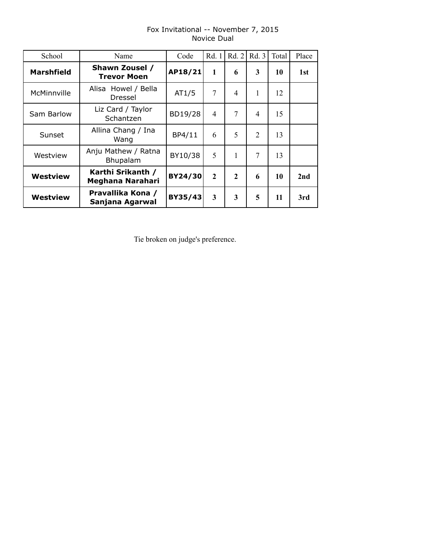| School            | Name                                  | Code    | Rd. 1          | Rd. 2          | Rd. 3          | Total | Place |
|-------------------|---------------------------------------|---------|----------------|----------------|----------------|-------|-------|
| <b>Marshfield</b> | Shawn Zousel /<br><b>Trevor Moen</b>  | AP18/21 | $\mathbf{1}$   | 6              | 3              | 10    | 1st   |
| McMinnville       | Alisa Howel / Bella<br>Dressel        | AT1/5   | 7              | $\overline{4}$ | 1              | 12    |       |
| Sam Barlow        | Liz Card / Taylor<br>Schantzen        | BD19/28 | $\overline{4}$ | 7              | 4              | 15    |       |
| Sunset            | Allina Chang / Ina<br>Wang            | BP4/11  | 6              | 5              | $\overline{2}$ | 13    |       |
| Westview          | Anju Mathew / Ratna<br>Bhupalam       | BY10/38 | 5              | 1              | 7              | 13    |       |
| <b>Westview</b>   | Karthi Srikanth /<br>Meghana Narahari | BY24/30 | $\overline{2}$ | $\mathbf{2}$   | 6              | 10    | 2nd   |
| <b>Westview</b>   | Pravallika Kona /<br>Sanjana Agarwal  | BY35/43 | $\mathbf{3}$   | 3              | 5              | 11    | 3rd   |

#### Fox Invitational -- November 7, 2015 Novice Dual

Tie broken on judge's preference.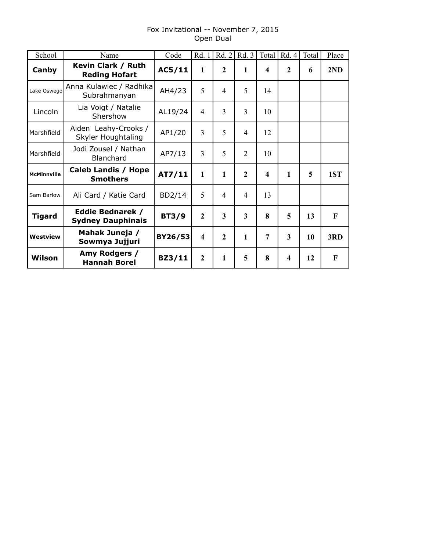# Fox Invitational -- November 7, 2015 Open Dual

| School             | Name                                                | Code         | Rd. 1                   | Rd. 2          | Rd. 3          | Total | Rd. 4        | Total | Place        |
|--------------------|-----------------------------------------------------|--------------|-------------------------|----------------|----------------|-------|--------------|-------|--------------|
| Canby              | Kevin Clark / Ruth<br><b>Reding Hofart</b>          | AC5/11       | $\mathbf{1}$            | $\mathbf{2}$   | 1              | 4     | $\mathbf{2}$ | 6     | 2ND          |
| Lake Oswego        | Anna Kulawiec / Radhika<br>Subrahmanyan             | AH4/23       | 5                       | 4              | 5              | 14    |              |       |              |
| Lincoln            | Lia Voigt / Natalie<br>Shershow                     | AL19/24      | $\overline{4}$          | 3              | 3              | 10    |              |       |              |
| Marshfield         | Aiden Leahy-Crooks /<br>Skyler Houghtaling          | AP1/20       | $\overline{3}$          | 5              | 4              | 12    |              |       |              |
| Marshfield         | Jodi Zousel / Nathan<br><b>Blanchard</b>            | AP7/13       | $\overline{3}$          | 5              | $\overline{2}$ | 10    |              |       |              |
| <b>McMinnville</b> | Caleb Landis / Hope<br><b>Smothers</b>              | AT7/11       | 1                       | 1              | $\mathbf{2}$   | 4     | 1            | 5     | 1ST          |
| Sam Barlow         | Ali Card / Katie Card                               | BD2/14       | 5                       | 4              | 4              | 13    |              |       |              |
| <b>Tigard</b>      | <b>Eddie Bednarek /</b><br><b>Sydney Dauphinais</b> | <b>BT3/9</b> | $\overline{2}$          | 3              | 3              | 8     | 5            | 13    | $\mathbf F$  |
| <b>Westview</b>    | Mahak Juneja /<br>Sowmya Jujjuri                    | BY26/53      | $\overline{\mathbf{4}}$ | $\overline{2}$ | 1              | 7     | 3            | 10    | 3RD          |
| Wilson             | Amy Rodgers /<br><b>Hannah Borel</b>                | BZ3/11       | $\overline{2}$          | $\mathbf{1}$   | 5              | 8     | 4            | 12    | $\mathbf{F}$ |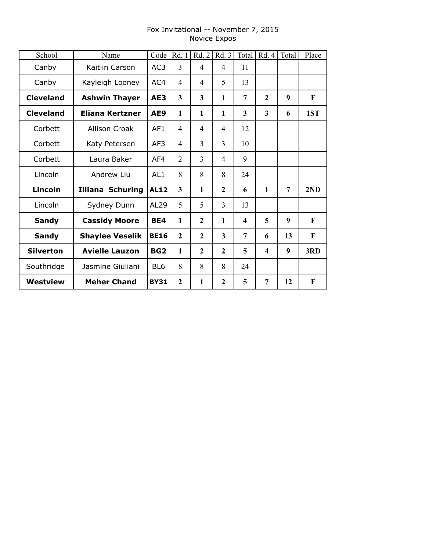# Fox Invitational -- November 7, 2015 Novice Expos

| School           | Name                    | Code            | Rd. 1                   | Rd. 2          | Rd. 3          | Total | Rd. 4                   | Total          | Place |
|------------------|-------------------------|-----------------|-------------------------|----------------|----------------|-------|-------------------------|----------------|-------|
| Canby            | Kaitlin Carson          | AC <sub>3</sub> | 3                       | $\overline{4}$ | 4              | 11    |                         |                |       |
| Canby            | Kayleigh Looney         | AC4             | $\overline{4}$          | $\overline{4}$ | 5              | 13    |                         |                |       |
| <b>Cleveland</b> | <b>Ashwin Thayer</b>    | AE3             | $\overline{\mathbf{3}}$ | $\overline{3}$ | $\mathbf{1}$   | 7     | $\overline{2}$          | 9              | F     |
| <b>Cleveland</b> | <b>Eliana Kertzner</b>  | AE9             | 1                       | $\mathbf{1}$   | $\mathbf{1}$   | 3     | $\overline{\mathbf{3}}$ | 6              | 1ST   |
| Corbett          | <b>Allison Croak</b>    | AF1             | 4                       | $\overline{4}$ | $\overline{4}$ | 12    |                         |                |       |
| Corbett          | Katy Petersen           | AF3             | $\overline{4}$          | 3              | 3              | 10    |                         |                |       |
| Corbett          | Laura Baker             | AF4             | $\overline{2}$          | $\overline{3}$ | 4              | 9     |                         |                |       |
| Lincoln          | Andrew Liu              | AL <sub>1</sub> | 8                       | 8              | 8              | 24    |                         |                |       |
| <b>Lincoln</b>   | <b>Illiana Schuring</b> | <b>AL12</b>     | $\overline{\mathbf{3}}$ | $\mathbf{1}$   | $\mathbf{2}$   | 6     | 1                       | $\overline{7}$ | 2ND   |
| Lincoln          | Sydney Dunn             | AL29            | 5                       | 5              | 3              | 13    |                         |                |       |
| <b>Sandy</b>     | <b>Cassidy Moore</b>    | BE4             | $\mathbf{1}$            | $\mathbf{2}$   | $\mathbf{1}$   | 4     | 5                       | 9              | F     |
| <b>Sandy</b>     | <b>Shaylee Veselik</b>  | <b>BE16</b>     | $\overline{2}$          | $\overline{2}$ | 3              | 7     | 6                       | 13             | F     |
| <b>Silverton</b> | <b>Avielle Lauzon</b>   | BG <sub>2</sub> | $\mathbf{1}$            | $\overline{2}$ | $\overline{2}$ | 5     | $\overline{\mathbf{4}}$ | 9              | 3RD   |
| Southridge       | Jasmine Giuliani        | BL <sub>6</sub> | 8                       | 8              | 8              | 24    |                         |                |       |
| Westview         | <b>Meher Chand</b>      | <b>BY31</b>     | $\boldsymbol{2}$        | 1              | $\mathbf{2}$   | 5     | 7                       | 12             | F     |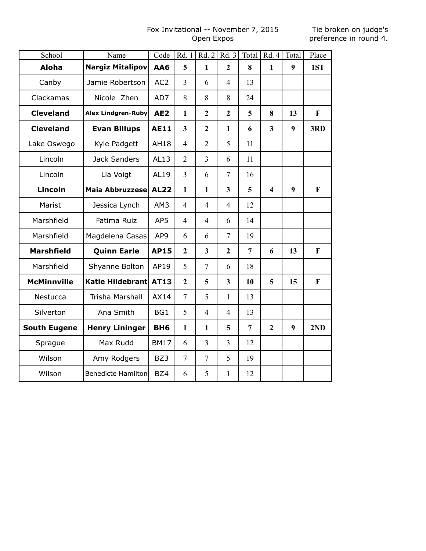# Fox Invitational -- November 7, 2015 Open Expos

Tie broken on judge's preference in round 4.

| School              | Name                      | Code            | Rd. 1                   | Rd.2                    | Rd. 3                   | Total          | Rd.4                    | Total | Place        |
|---------------------|---------------------------|-----------------|-------------------------|-------------------------|-------------------------|----------------|-------------------------|-------|--------------|
| <b>Aloha</b>        | <b>Nargiz Mitalipov</b>   | AA6             | 5                       | $\mathbf{1}$            | $\overline{2}$          | 8              | $\mathbf{1}$            | 9     | 1ST          |
| Canby               | Jamie Robertson           | AC <sub>2</sub> | 3                       | 6                       | 4                       | 13             |                         |       |              |
| Clackamas           | Nicole Zhen               | AD7             | 8                       | 8                       | 8                       | 24             |                         |       |              |
| <b>Cleveland</b>    | <b>Alex Lindgren-Ruby</b> | AE <sub>2</sub> | $\mathbf{1}$            | $\overline{2}$          | $\overline{2}$          | 5              | 8                       | 13    | $\mathbf{F}$ |
| <b>Cleveland</b>    | <b>Evan Billups</b>       | <b>AE11</b>     | $\overline{\mathbf{3}}$ | $\overline{2}$          | $\mathbf{1}$            | 6              | $\overline{\mathbf{3}}$ | 9     | 3RD          |
| Lake Oswego         | Kyle Padgett              | <b>AH18</b>     | 4                       | $\overline{2}$          | 5                       | 11             |                         |       |              |
| Lincoln             | <b>Jack Sanders</b>       | AL13            | $\overline{2}$          | $\overline{3}$          | 6                       | 11             |                         |       |              |
| Lincoln             | Lia Voigt                 | AL19            | 3                       | 6                       | $\tau$                  | 16             |                         |       |              |
| Lincoln             | <b>Maia Abbruzzese</b>    | <b>AL22</b>     | $\mathbf{1}$            | $\mathbf{1}$            | 3                       | 5              | $\overline{\mathbf{4}}$ | 9     | $\mathbf{F}$ |
| Marist              | Jessica Lynch             | AM3             | $\overline{4}$          | $\overline{4}$          | $\overline{4}$          | 12             |                         |       |              |
| Marshfield          | Fatima Ruiz               | AP5             | $\overline{4}$          | $\overline{4}$          | 6                       | 14             |                         |       |              |
| Marshfield          | Magdelena Casas           | AP9             | 6                       | 6                       | $\overline{7}$          | 19             |                         |       |              |
| <b>Marshfield</b>   | <b>Quinn Earle</b>        | <b>AP15</b>     | $\boldsymbol{2}$        | $\overline{\mathbf{3}}$ | $\overline{2}$          | $\overline{7}$ | 6                       | 13    | $\mathbf{F}$ |
| Marshfield          | Shyanne Bolton            | AP19            | 5                       | $\overline{7}$          | 6                       | 18             |                         |       |              |
| <b>McMinnville</b>  | <b>Katie Hildebrant</b>   | AT13            | $\overline{2}$          | 5                       | $\overline{\mathbf{3}}$ | 10             | 5                       | 15    | $\mathbf{F}$ |
| Nestucca            | Trisha Marshall           | AX14            | $\tau$                  | 5                       | $\mathbf{1}$            | 13             |                         |       |              |
| Silverton           | Ana Smith                 | BG1             | 5                       | $\overline{4}$          | $\overline{4}$          | 13             |                         |       |              |
| <b>South Eugene</b> | <b>Henry Lininger</b>     | BH <sub>6</sub> | $\mathbf{1}$            | $\mathbf{1}$            | 5                       | $\overline{7}$ | $\overline{2}$          | 9     | 2ND          |
| Sprague             | Max Rudd                  | <b>BM17</b>     | 6                       | $\overline{3}$          | 3                       | 12             |                         |       |              |
| Wilson              | Amy Rodgers               | BZ3             | $\overline{7}$          | $\overline{7}$          | 5                       | 19             |                         |       |              |
| Wilson              | <b>Benedicte Hamilton</b> | BZ4             | 6                       | 5                       | $\mathbf{1}$            | 12             |                         |       |              |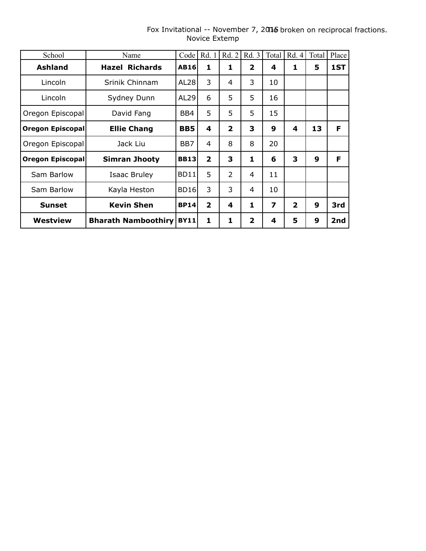| School                  | Name                       | Code        | Rd. 1                   | Rd. 2                   | Rd. 3                   | Total | Rd.4                    | Total | Place |
|-------------------------|----------------------------|-------------|-------------------------|-------------------------|-------------------------|-------|-------------------------|-------|-------|
| <b>Ashland</b>          | <b>Hazel Richards</b>      | <b>AB16</b> | 1                       | 1                       | $\overline{\mathbf{2}}$ | 4     | 1                       | 5     | 1ST   |
| Lincoln                 | Srinik Chinnam             | AL28        | 3                       | 4                       | 3                       | 10    |                         |       |       |
| Lincoln                 | Sydney Dunn                | AL29        | 6                       | 5                       | 5                       | 16    |                         |       |       |
| Oregon Episcopal        | David Fang                 | BB4         | 5                       | 5                       | 5                       | 15    |                         |       |       |
| Oregon Episcopal        | <b>Ellie Chang</b>         | <b>BB5</b>  | 4                       | $\overline{\mathbf{2}}$ | 3                       | 9     | 4                       | 13    | F     |
| Oregon Episcopal        | Jack Liu                   | BB7         | 4                       | 8                       | 8                       | 20    |                         |       |       |
| <b>Oregon Episcopal</b> | <b>Simran Jhooty</b>       | <b>BB13</b> | $\overline{\mathbf{2}}$ | 3                       | 1                       | 6     | 3                       | 9     | F     |
| Sam Barlow              | <b>Isaac Bruley</b>        | BD11        | 5                       | $\overline{2}$          | 4                       | 11    |                         |       |       |
| Sam Barlow              | Kayla Heston               | <b>BD16</b> | 3                       | 3                       | 4                       | 10    |                         |       |       |
| <b>Sunset</b>           | <b>Kevin Shen</b>          | <b>BP14</b> | $\overline{2}$          | 4                       | 1                       | 7     | $\overline{\mathbf{2}}$ | 9     | 3rd   |
| Westview                | <b>Bharath Namboothiry</b> | <b>BY11</b> | 1                       | 1                       | $\mathbf{2}$            | 4     | 5                       | 9     | 2nd   |

#### Fox Invitational -- November 7, 2015 broken on reciprocal fractions. Novice Extemp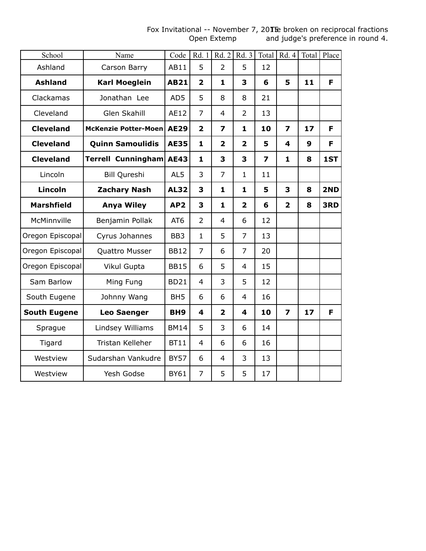#### Fox Invitational -- November 7, 20TE broken on reciprocal fractions Open Extemp and judge's preference in round 4.

| School              | Name                    | Code            | Rd. 1                   | Rd.2           | Rd. 3          | Total                   | Rd.4                    |                  | Total Place |
|---------------------|-------------------------|-----------------|-------------------------|----------------|----------------|-------------------------|-------------------------|------------------|-------------|
| Ashland             | Carson Barry            | AB11            | 5                       | $\overline{2}$ | 5              | 12                      |                         |                  |             |
| <b>Ashland</b>      | <b>Karl Moeglein</b>    | <b>AB21</b>     | $\overline{\mathbf{2}}$ | $\mathbf{1}$   | 3              | 6                       | 5                       | 11               | F           |
| Clackamas           | Jonathan Lee            | AD5             | 5                       | 8              | 8              | 21                      |                         |                  |             |
| Cleveland           | <b>Glen Skahill</b>     | AE12            | $\overline{7}$          | $\overline{4}$ | $\overline{2}$ | 13                      |                         |                  |             |
| <b>Cleveland</b>    | McKenzie Potter-Moen    | <b>AE29</b>     | $\overline{\mathbf{2}}$ | $\overline{z}$ | 1              | 10                      | $\overline{\mathbf{z}}$ | 17               | F.          |
| <b>Cleveland</b>    | <b>Quinn Samoulidis</b> | <b>AE35</b>     | 1                       | $\overline{2}$ | $\overline{2}$ | 5                       | 4                       | $\boldsymbol{9}$ | F           |
| <b>Cleveland</b>    | Terrell Cunningham      | <b>AE43</b>     | 1                       | 3              | 3              | $\overline{\mathbf{z}}$ | 1                       | 8                | 1ST         |
| Lincoln             | Bill Qureshi            | AL5             | 3                       | $\overline{7}$ | $\mathbf{1}$   | 11                      |                         |                  |             |
| Lincoln             | <b>Zachary Nash</b>     | <b>AL32</b>     | 3                       | $\mathbf{1}$   | $\mathbf{1}$   | 5                       | 3                       | 8                | 2ND         |
| <b>Marshfield</b>   | <b>Anya Wiley</b>       | AP <sub>2</sub> | 3                       | $\mathbf{1}$   | $\overline{2}$ | 6                       | $\overline{2}$          | 8                | 3RD         |
| McMinnville         | Benjamin Pollak         | AT6             | $\overline{2}$          | $\overline{4}$ | 6              | 12                      |                         |                  |             |
| Oregon Episcopal    | Cyrus Johannes          | BB <sub>3</sub> | $\mathbf{1}$            | 5              | $\overline{7}$ | 13                      |                         |                  |             |
| Oregon Episcopal    | Quattro Musser          | <b>BB12</b>     | 7                       | 6              | 7              | 20                      |                         |                  |             |
| Oregon Episcopal    | Vikul Gupta             | <b>BB15</b>     | 6                       | 5              | $\overline{4}$ | 15                      |                         |                  |             |
| Sam Barlow          | Ming Fung               | <b>BD21</b>     | $\overline{4}$          | 3              | 5              | 12                      |                         |                  |             |
| South Eugene        | Johnny Wang             | BH <sub>5</sub> | 6                       | 6              | $\overline{4}$ | 16                      |                         |                  |             |
| <b>South Eugene</b> | <b>Leo Saenger</b>      | BH <sub>9</sub> | 4                       | $\overline{2}$ | 4              | 10                      | $\overline{z}$          | 17               | F           |
| Sprague             | Lindsey Williams        | <b>BM14</b>     | 5                       | 3              | 6              | 14                      |                         |                  |             |
| Tigard              | Tristan Kelleher        | <b>BT11</b>     | $\overline{4}$          | 6              | 6              | 16                      |                         |                  |             |
| Westview            | Sudarshan Vankudre      | <b>BY57</b>     | 6                       | $\overline{4}$ | 3              | 13                      |                         |                  |             |
| Westview            | Yesh Godse              | <b>BY61</b>     | $\overline{7}$          | 5              | 5              | 17                      |                         |                  |             |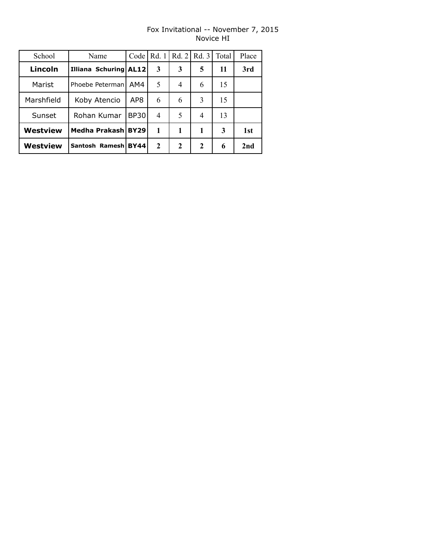# Fox Invitational -- November 7, 2015 Novice HI

| School     | Name                  | Code        | Rd. 1 | Rd. 2            | Rd.3        | Total | Place |
|------------|-----------------------|-------------|-------|------------------|-------------|-------|-------|
| Lincoln    | Illiana Schuring AL12 |             | 3     | 3                | 5           | 11    | 3rd   |
| Marist     | Phoebe Peterman       | AM4         | 5     | $\overline{4}$   | 6           | 15    |       |
| Marshfield | Koby Atencio          | AP8         | 6     | 6                | 3           | 15    |       |
| Sunset     | Rohan Kumar           | BP301       | 4     | 5                | 4           | 13    |       |
| Westview   | Medha Prakash BY29    |             | 1     | 1                | 1           | 3     | 1st   |
| Westview   | Santosh Ramesh        | <b>BY44</b> | 2     | $\boldsymbol{2}$ | $\mathbf 2$ | 6     | 2nd   |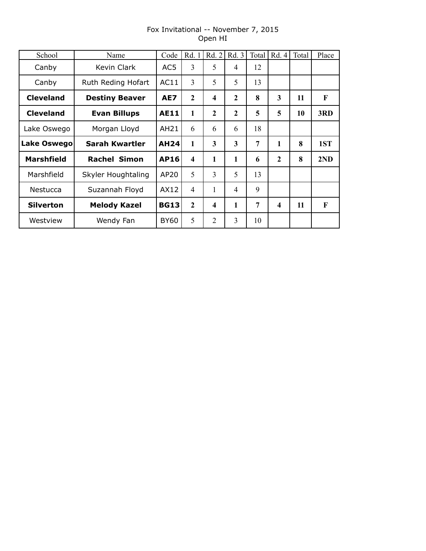# Fox Invitational -- November 7, 2015 Open HI

| School            | Name                  | Code        | Rd. 1                   | Rd. 2            | Rd. 3          | Total | Rd. 4                   | Total | Place        |
|-------------------|-----------------------|-------------|-------------------------|------------------|----------------|-------|-------------------------|-------|--------------|
| Canby             | Kevin Clark           | AC5         | 3                       | 5                | 4              | 12    |                         |       |              |
| Canby             | Ruth Reding Hofart    | AC11        | 3                       | 5                | 5              | 13    |                         |       |              |
| <b>Cleveland</b>  | <b>Destiny Beaver</b> | AE7         | $\mathbf{2}$            | $\boldsymbol{4}$ | $\mathbf{2}$   | 8     | 3                       | 11    | $\mathbf{F}$ |
| <b>Cleveland</b>  | <b>Evan Billups</b>   | <b>AE11</b> | 1                       | $\mathbf{2}$     | $\mathbf{2}$   | 5     | 5                       | 10    | 3RD          |
| Lake Oswego       | Morgan Lloyd          | AH21        | 6                       | 6                | 6              | 18    |                         |       |              |
| Lake Oswego       | Sarah Kwartler        | <b>AH24</b> | 1                       | 3                | 3              | 7     | 1                       | 8     | 1ST          |
| <b>Marshfield</b> | <b>Rachel Simon</b>   | <b>AP16</b> | $\overline{\mathbf{4}}$ | $\mathbf{1}$     | 1              | 6     | $\mathbf{2}$            | 8     | 2ND          |
| Marshfield        | Skyler Houghtaling    | AP20        | 5                       | 3                | 5              | 13    |                         |       |              |
| Nestucca          | Suzannah Floyd        | AX12        | 4                       | 1                | $\overline{4}$ | 9     |                         |       |              |
| <b>Silverton</b>  | <b>Melody Kazel</b>   | <b>BG13</b> | $\overline{2}$          | $\boldsymbol{4}$ | 1              | 7     | $\overline{\mathbf{4}}$ | 11    | F            |
| Westview          | Wendy Fan             | BY60        | 5                       | $\overline{2}$   | 3              | 10    |                         |       |              |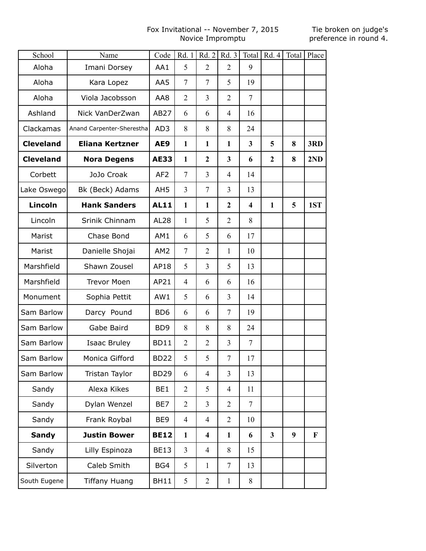# Fox Invitational -- November 7, 2015 Novice Impromptu

| School           | Name                      | Code            | Rd. 1          | Rd. 2                   | Rd. 3          |                | Total   Rd. 4   Total   Place |   |     |
|------------------|---------------------------|-----------------|----------------|-------------------------|----------------|----------------|-------------------------------|---|-----|
| Aloha            | Imani Dorsey              | AA1             | 5              | $\overline{2}$          | $\overline{2}$ | 9              |                               |   |     |
| Aloha            | Kara Lopez                | AA5             | $\overline{7}$ | $\overline{7}$          | 5              | 19             |                               |   |     |
| Aloha            | Viola Jacobsson           | AA8             | 2              | $\overline{3}$          | $\overline{2}$ | $\overline{7}$ |                               |   |     |
| Ashland          | Nick VanDerZwan           | AB27            | 6              | 6                       | $\overline{4}$ | 16             |                               |   |     |
| Clackamas        | Anand Carpenter-Sherestha | AD3             | 8              | 8                       | 8              | 24             |                               |   |     |
| <b>Cleveland</b> | <b>Eliana Kertzner</b>    | AE9             | $\mathbf{1}$   | $\mathbf{1}$            | $\mathbf{1}$   | 3              | 5                             | 8 | 3RD |
| <b>Cleveland</b> | <b>Nora Degens</b>        | <b>AE33</b>     | $\mathbf{1}$   | $\overline{2}$          | 3              | 6              | $\overline{2}$                | 8 | 2ND |
| Corbett          | JoJo Croak                | AF <sub>2</sub> | $\overline{7}$ | $\overline{3}$          | $\overline{4}$ | 14             |                               |   |     |
| Lake Oswego      | Bk (Beck) Adams           | AH <sub>5</sub> | $\overline{3}$ | $\overline{7}$          | $\overline{3}$ | 13             |                               |   |     |
| Lincoln          | <b>Hank Sanders</b>       | <b>AL11</b>     | $\mathbf{1}$   | $\mathbf{1}$            | $\overline{2}$ | 4              | $\mathbf{1}$                  | 5 | 1ST |
| Lincoln          | Srinik Chinnam            | <b>AL28</b>     | $\mathbf{1}$   | 5                       | $\overline{2}$ | 8              |                               |   |     |
| Marist           | Chase Bond                | AM1             | 6              | 5                       | 6              | 17             |                               |   |     |
| Marist           | Danielle Shojai           | AM2             | 7              | $\overline{2}$          | 1              | 10             |                               |   |     |
| Marshfield       | Shawn Zousel              | AP18            | 5              | 3                       | 5              | 13             |                               |   |     |
| Marshfield       | <b>Trevor Moen</b>        | AP21            | $\overline{4}$ | 6                       | 6              | 16             |                               |   |     |
| Monument         | Sophia Pettit             | AW1             | 5              | 6                       | 3              | 14             |                               |   |     |
| Sam Barlow       | Darcy Pound               | B <sub>D6</sub> | 6              | 6                       | $\overline{7}$ | 19             |                               |   |     |
| Sam Barlow       | Gabe Baird                | BD <sub>9</sub> | 8              | 8                       | 8              | 24             |                               |   |     |
| Sam Barlow       | <b>Isaac Bruley</b>       | <b>BD11</b>     | 2              | $\overline{2}$          | 3              | 7              |                               |   |     |
| Sam Barlow       | Monica Gifford            | <b>BD22</b>     | 5              | 5                       | $\sqrt{ }$     | 17             |                               |   |     |
| Sam Barlow       | Tristan Taylor            | <b>BD29</b>     | 6              | $\overline{4}$          | $\overline{3}$ | 13             |                               |   |     |
| Sandy            | Alexa Kikes               | BE1             | $\overline{2}$ | 5                       | $\overline{4}$ | 11             |                               |   |     |
| Sandy            | Dylan Wenzel              | BE7             | $\overline{2}$ | $\overline{3}$          | $\overline{2}$ | $\overline{7}$ |                               |   |     |
| Sandy            | Frank Roybal              | BE9             | $\overline{4}$ | $\overline{4}$          | $\overline{2}$ | 10             |                               |   |     |
| <b>Sandy</b>     | <b>Justin Bower</b>       | <b>BE12</b>     | $\mathbf{1}$   | $\overline{\mathbf{4}}$ | $\mathbf{1}$   | 6              | $\mathbf{3}$                  | 9 | F   |
| Sandy            | Lilly Espinoza            | <b>BE13</b>     | $\overline{3}$ | $\overline{4}$          | 8              | 15             |                               |   |     |
| Silverton        | Caleb Smith               | BG4             | 5              | $\mathbf{1}$            | $\overline{7}$ | 13             |                               |   |     |
| South Eugene     | <b>Tiffany Huang</b>      | <b>BH11</b>     | 5              | $\overline{2}$          | $\mathbf{1}$   | 8              |                               |   |     |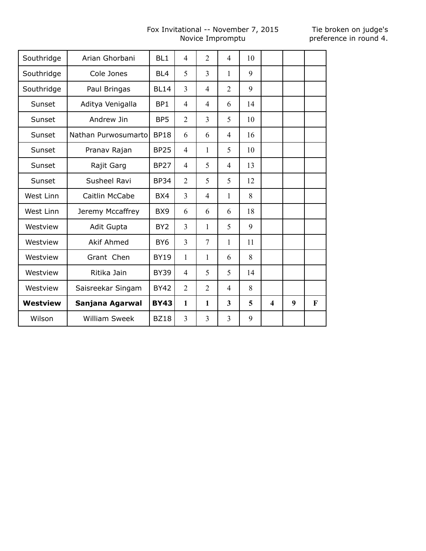# Fox Invitational -- November 7, 2015 Novice Impromptu

| Southridge      | Arian Ghorbani       | BL <sub>1</sub> | $\overline{4}$ | $\overline{2}$ | $\overline{4}$          | 10 |                         |   |   |
|-----------------|----------------------|-----------------|----------------|----------------|-------------------------|----|-------------------------|---|---|
| Southridge      | Cole Jones           | BL <sub>4</sub> | 5              | $\overline{3}$ | 1                       | 9  |                         |   |   |
| Southridge      | Paul Bringas         | <b>BL14</b>     | 3              | 4              | $\overline{2}$          | 9  |                         |   |   |
| Sunset          | Aditya Venigalla     | BP1             | $\overline{4}$ | 4              | 6                       | 14 |                         |   |   |
| Sunset          | Andrew Jin           | BP <sub>5</sub> | $\overline{2}$ | 3              | 5                       | 10 |                         |   |   |
| Sunset          | Nathan Purwosumarto  | <b>BP18</b>     | 6              | 6              | $\overline{4}$          | 16 |                         |   |   |
| Sunset          | Pranav Rajan         | <b>BP25</b>     | $\overline{4}$ | 1              | 5                       | 10 |                         |   |   |
| Sunset          | Rajit Garg           | <b>BP27</b>     | $\overline{4}$ | 5              | $\overline{4}$          | 13 |                         |   |   |
| Sunset          | Susheel Ravi         | <b>BP34</b>     | $\overline{2}$ | 5              | 5                       | 12 |                         |   |   |
| West Linn       | Caitlin McCabe       | BX4             | 3              | 4              | 1                       | 8  |                         |   |   |
| West Linn       | Jeremy Mccaffrey     | BX <sub>9</sub> | 6              | 6              | 6                       | 18 |                         |   |   |
| Westview        | Adit Gupta           | BY <sub>2</sub> | $\overline{3}$ | 1              | 5                       | 9  |                         |   |   |
| Westview        | <b>Akif Ahmed</b>    | BY <sub>6</sub> | $\overline{3}$ | $\overline{7}$ | 1                       | 11 |                         |   |   |
| Westview        | Grant Chen           | <b>BY19</b>     | 1              | $\mathbf{1}$   | 6                       | 8  |                         |   |   |
| Westview        | Ritika Jain          | <b>BY39</b>     | $\overline{4}$ | 5              | 5                       | 14 |                         |   |   |
| Westview        | Saisreekar Singam    | <b>BY42</b>     | $\overline{2}$ | $\overline{2}$ | $\overline{4}$          | 8  |                         |   |   |
| <b>Westview</b> | Sanjana Agarwal      | <b>BY43</b>     | $\mathbf{1}$   | 1              | $\overline{\mathbf{3}}$ | 5  | $\overline{\mathbf{4}}$ | 9 | F |
| Wilson          | <b>William Sweek</b> | <b>BZ18</b>     | 3              | 3              | 3                       | 9  |                         |   |   |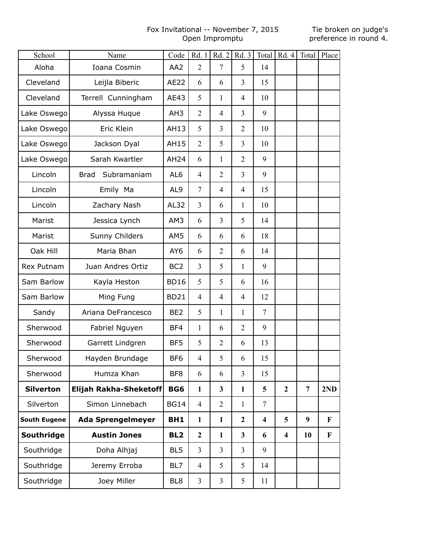#### Fox Invitational -- November 7, 2015 Open Impromptu

| School              | Name                          | Code            | Rd. 1          | Rd.2                    | Rd. 3          |                         | Total   $Rd. 4$         |                  | Total Place |
|---------------------|-------------------------------|-----------------|----------------|-------------------------|----------------|-------------------------|-------------------------|------------------|-------------|
| Aloha               | Ioana Cosmin                  | AA2             | $\overline{2}$ | $\overline{7}$          | 5              | 14                      |                         |                  |             |
| Cleveland           | Leijla Biberic                | AE22            | 6              | 6                       | 3              | 15                      |                         |                  |             |
| Cleveland           | Terrell Cunningham            | AE43            | 5              | $\mathbf{1}$            | $\overline{4}$ | 10                      |                         |                  |             |
| Lake Oswego         | Alyssa Huque                  | AH <sub>3</sub> | $\overline{2}$ | $\overline{4}$          | 3              | 9                       |                         |                  |             |
| Lake Oswego         | Eric Klein                    | AH13            | 5              | 3                       | $\overline{2}$ | 10                      |                         |                  |             |
| Lake Oswego         | Jackson Dyal                  | AH15            | $\overline{2}$ | 5                       | 3              | 10                      |                         |                  |             |
| Lake Oswego         | Sarah Kwartler                | <b>AH24</b>     | 6              | $\mathbf{1}$            | $\overline{2}$ | 9                       |                         |                  |             |
| Lincoln             | Subramaniam<br><b>Brad</b>    | AL <sub>6</sub> | $\overline{4}$ | $\overline{2}$          | $\overline{3}$ | 9                       |                         |                  |             |
| Lincoln             | Emily Ma                      | AL <sub>9</sub> | $\tau$         | $\overline{4}$          | $\overline{4}$ | 15                      |                         |                  |             |
| Lincoln             | Zachary Nash                  | AL32            | 3              | 6                       | $\mathbf{1}$   | 10                      |                         |                  |             |
| Marist              | Jessica Lynch                 | AM3             | 6              | 3                       | 5              | 14                      |                         |                  |             |
| Marist              | Sunny Childers                | AM5             | 6              | 6                       | 6              | 18                      |                         |                  |             |
| Oak Hill            | Maria Bhan                    | AY <sub>6</sub> | 6              | $\overline{2}$          | 6              | 14                      |                         |                  |             |
| Rex Putnam          | Juan Andres Ortiz             | BC <sub>2</sub> | 3              | 5                       | $\mathbf{1}$   | 9                       |                         |                  |             |
| Sam Barlow          | Kayla Heston                  | <b>BD16</b>     | 5              | 5                       | 6              | 16                      |                         |                  |             |
| Sam Barlow          | Ming Fung                     | <b>BD21</b>     | $\overline{4}$ | $\overline{4}$          | $\overline{4}$ | 12                      |                         |                  |             |
| Sandy               | Ariana DeFrancesco            | BE <sub>2</sub> | 5              | $\mathbf{1}$            | 1              | $\overline{7}$          |                         |                  |             |
| Sherwood            | Fabriel Nguyen                | BF4             | $\mathbf{1}$   | 6                       | $\overline{2}$ | 9                       |                         |                  |             |
| Sherwood            | Garrett Lindgren              | BF5             | 5              | $\overline{2}$          | 6              | 13                      |                         |                  |             |
| Sherwood            | Hayden Brundage               | BF6             | $\overline{4}$ | 5                       | 6              | 15                      |                         |                  |             |
| Sherwood            | Humza Khan                    | BF8             | 6              | 6                       | $\overline{3}$ | 15                      |                         |                  |             |
| <b>Silverton</b>    | <b>Elijah Rakha-Sheketoff</b> | BG6             | $\mathbf{1}$   | $\overline{\mathbf{3}}$ | $\mathbf{1}$   | 5                       | $\overline{2}$          | $\overline{7}$   | 2ND         |
| Silverton           | Simon Linnebach               | <b>BG14</b>     | $\overline{4}$ | $\overline{2}$          | $\mathbf{1}$   | $\overline{7}$          |                         |                  |             |
| <b>South Eugene</b> | <b>Ada Sprengelmeyer</b>      | BH1             | $\mathbf{1}$   | $\mathbf{1}$            | $\overline{2}$ | $\overline{\mathbf{4}}$ | 5                       | $\boldsymbol{9}$ | F           |
| Southridge          | <b>Austin Jones</b>           | BL <sub>2</sub> | $\mathbf{2}$   | $\mathbf{1}$            | 3              | 6                       | $\overline{\mathbf{4}}$ | 10               | F           |
| Southridge          | Doha Alhjaj                   | BL <sub>5</sub> | $\overline{3}$ | 3                       | $\overline{3}$ | 9                       |                         |                  |             |
| Southridge          | Jeremy Erroba                 | BL7             | $\overline{4}$ | 5                       | 5              | 14                      |                         |                  |             |
| Southridge          | Joey Miller                   | BL <sub>8</sub> | $\overline{3}$ | $\overline{3}$          | 5              | 11                      |                         |                  |             |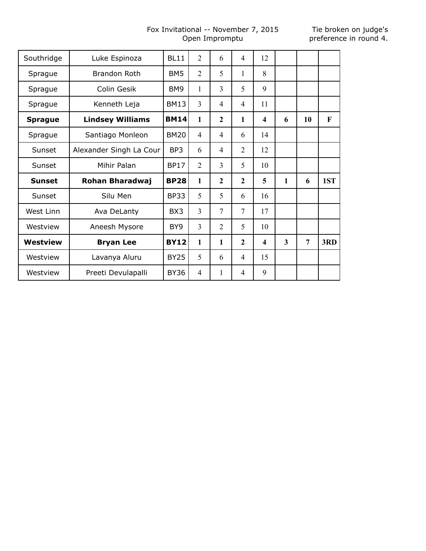# Fox Invitational -- November 7, 2015 Open Impromptu

| Southridge     | Luke Espinoza           | <b>BL11</b>     | $\overline{2}$ | 6              | 4              | 12 |              |    |     |
|----------------|-------------------------|-----------------|----------------|----------------|----------------|----|--------------|----|-----|
| Sprague        | <b>Brandon Roth</b>     | BM <sub>5</sub> | $\overline{2}$ | 5              | $\mathbf{1}$   | 8  |              |    |     |
| Sprague        | Colin Gesik             | BM9             | 1              | 3              | 5              | 9  |              |    |     |
| Sprague        | Kenneth Leja            | <b>BM13</b>     | 3              | 4              | 4              | 11 |              |    |     |
| <b>Sprague</b> | <b>Lindsey Williams</b> | <b>BM14</b>     | $\mathbf{1}$   | $\overline{2}$ | $\mathbf{1}$   | 4  | 6            | 10 | F   |
| Sprague        | Santiago Monleon        | <b>BM20</b>     | $\overline{4}$ | 4              | 6              | 14 |              |    |     |
| Sunset         | Alexander Singh La Cour | BP3             | 6              | 4              | 2              | 12 |              |    |     |
| Sunset         | Mihir Palan             | <b>BP17</b>     | 2              | 3              | 5              | 10 |              |    |     |
| <b>Sunset</b>  | Rohan Bharadwaj         | <b>BP28</b>     | 1              | $\overline{2}$ | $\overline{2}$ | 5  | $\mathbf{1}$ | 6  | 1ST |
| Sunset         | Silu Men                | <b>BP33</b>     | 5              | 5              | 6              | 16 |              |    |     |
| West Linn      | Ava DeLanty             | BX3             | $\overline{3}$ | 7              | 7              | 17 |              |    |     |
| Westview       | Aneesh Mysore           | BY <sub>9</sub> | 3              | $\overline{2}$ | 5              | 10 |              |    |     |
| Westview       | <b>Bryan Lee</b>        | <b>BY12</b>     | 1              | $\mathbf{1}$   | $\overline{2}$ | 4  | 3            | 7  | 3RD |
| Westview       | Lavanya Aluru           | <b>BY25</b>     | 5              | 6              | 4              | 15 |              |    |     |
| Westview       | Preeti Devulapalli      | <b>BY36</b>     | $\overline{4}$ | 1              | 4              | 9  |              |    |     |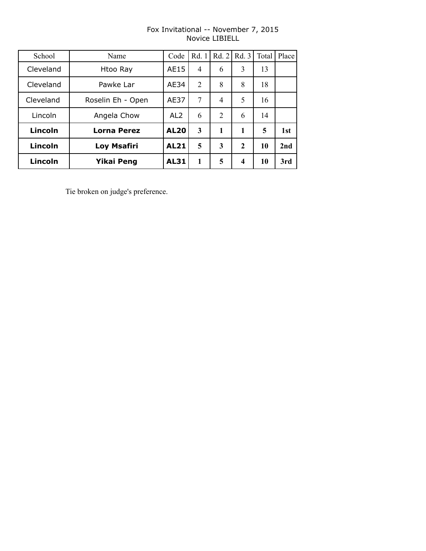| School    | Name               | Code            | Rd. 1          | Rd. 2          | Rd. 3        | Total | Place |
|-----------|--------------------|-----------------|----------------|----------------|--------------|-------|-------|
| Cleveland | Htoo Ray           | AE15            | 4              | 6              | 3            | 13    |       |
| Cleveland | Pawke Lar          | AE34            | $\overline{2}$ | 8              | 8            | 18    |       |
| Cleveland | Roselin Eh - Open  | AE37            | 7              | 4              | 5            | 16    |       |
| Lincoln   | Angela Chow        | AL <sub>2</sub> | 6              | $\overline{2}$ | 6            | 14    |       |
| Lincoln   | <b>Lorna Perez</b> | <b>AL20</b>     | 3              | 1              | 1            | 5     | 1st   |
| Lincoln   | Loy Msafiri        | <b>AL21</b>     | 5              | 3              | $\mathbf{2}$ | 10    | 2nd   |
| Lincoln   | <b>Yikai Peng</b>  | <b>AL31</b>     | 1              | 5              | 4            | 10    | 3rd   |

# Fox Invitational -- November 7, 2015 Novice LIBIELL

Tie broken on judge's preference.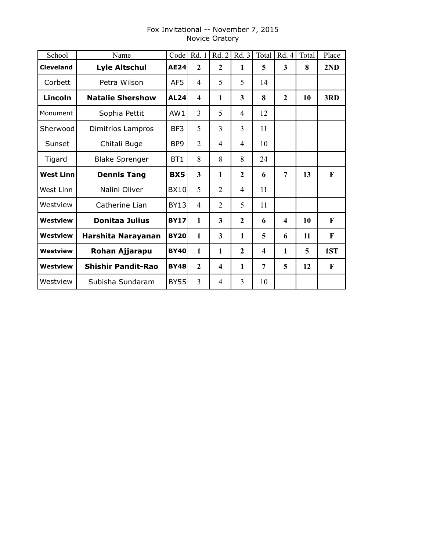| School           | Name                      | Code            | Rd. 1                   | Rd. 2                   | Rd. 3          | Total | Rd. 4          | Total | Place |
|------------------|---------------------------|-----------------|-------------------------|-------------------------|----------------|-------|----------------|-------|-------|
| <b>Cleveland</b> | <b>Lyle Altschul</b>      | <b>AE24</b>     | $\mathbf{2}$            | $\mathbf{2}$            | 1              | 5     | 3              | 8     | 2ND   |
| Corbett          | Petra Wilson              | AF5             | 4                       | 5                       | 5              | 14    |                |       |       |
| Lincoln          | <b>Natalie Shershow</b>   | <b>AL24</b>     | $\overline{\mathbf{4}}$ | 1                       | 3              | 8     | $\overline{2}$ | 10    | 3RD   |
| Monument         | Sophia Pettit             | AW1             | $\overline{3}$          | 5                       | 4              | 12    |                |       |       |
| Sherwood         | Dimitrios Lampros         | BF3             | 5                       | 3                       | 3              | 11    |                |       |       |
| Sunset           | Chitali Buge              | BP9             | $\overline{2}$          | 4                       | $\overline{4}$ | 10    |                |       |       |
| Tigard           | <b>Blake Sprenger</b>     | BT <sub>1</sub> | 8                       | 8                       | 8              | 24    |                |       |       |
| <b>West Linn</b> | <b>Dennis Tang</b>        | <b>BX5</b>      | 3                       | 1                       | $\overline{2}$ | 6     | 7              | 13    | F     |
| West Linn        | Nalini Oliver             | BX10l           | 5                       | $\overline{2}$          | $\overline{4}$ | 11    |                |       |       |
| Westview         | Catherine Lian            | BY13            | $\overline{4}$          | 2                       | 5              | 11    |                |       |       |
| Westview         | <b>Donitaa Julius</b>     | <b>BY17</b>     | 1                       | 3                       | $\mathbf{2}$   | 6     | 4              | 10    | F     |
| Westview         | Harshita Narayanan        | <b>BY20</b>     | $\mathbf{1}$            | $\overline{\mathbf{3}}$ | $\mathbf{1}$   | 5     | 6              | 11    | F     |
| Westview         | Rohan Ajjarapu            | <b>BY40</b>     | $\mathbf{1}$            | 1                       | $\mathbf{2}$   | 4     | 1              | 5     | 1ST   |
| Westview         | <b>Shishir Pandit-Rao</b> | <b>BY48</b>     | $\mathbf{2}$            | $\overline{\mathbf{4}}$ | 1              | 7     | 5              | 12    | F     |
| Westview         | Subisha Sundaram          | <b>BY55</b>     | $\overline{3}$          | 4                       | 3              | 10    |                |       |       |

# Fox Invitational -- November 7, 2015 Novice Oratory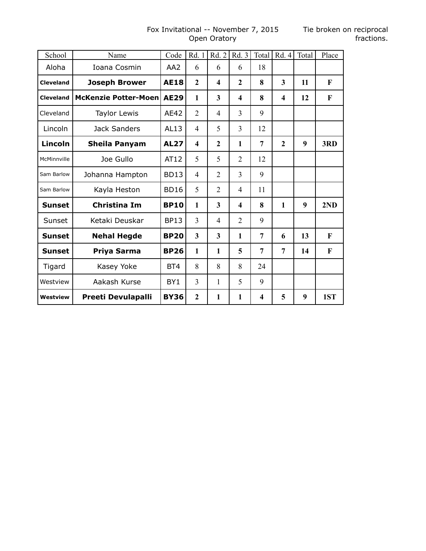## Fox Invitational -- November 7, 2015 Tie broken on reciprocal Open Oratory

| School           | Name                        | Code            | Rd. 1                   | Rd. 2                   | Rd. 3                   | Total                   | Rd. 4                   | Total | Place        |
|------------------|-----------------------------|-----------------|-------------------------|-------------------------|-------------------------|-------------------------|-------------------------|-------|--------------|
| Aloha            | Ioana Cosmin                | AA <sub>2</sub> | 6                       | 6                       | 6                       | 18                      |                         |       |              |
| <b>Cleveland</b> | <b>Joseph Brower</b>        | <b>AE18</b>     | $\overline{2}$          | 4                       | $\overline{2}$          | 8                       | 3                       | 11    | F            |
| <b>Cleveland</b> | <b>McKenzie Potter-Moen</b> | <b>AE29</b>     | 1                       | $\overline{\mathbf{3}}$ | $\overline{\mathbf{4}}$ | 8                       | $\overline{\mathbf{4}}$ | 12    | $\mathbf{F}$ |
| Cleveland        | <b>Taylor Lewis</b>         | AE42            | $\overline{2}$          | 4                       | 3                       | 9                       |                         |       |              |
| Lincoln          | Jack Sanders                | AL13            | $\overline{4}$          | 5                       | 3                       | 12                      |                         |       |              |
| <b>Lincoln</b>   | <b>Sheila Panyam</b>        | <b>AL27</b>     | $\overline{\mathbf{4}}$ | $\mathbf{2}$            | $\mathbf{1}$            | 7                       | $\mathbf{2}$            | 9     | 3RD          |
| McMinnville      | Joe Gullo                   | AT12            | 5                       | 5                       | $\overline{2}$          | 12                      |                         |       |              |
| Sam Barlow       | Johanna Hampton             | <b>BD13</b>     | 4                       | $\overline{2}$          | 3                       | 9                       |                         |       |              |
| Sam Barlow       | Kayla Heston                | <b>BD16</b>     | 5                       | $\overline{2}$          | $\overline{4}$          | 11                      |                         |       |              |
| <b>Sunset</b>    | <b>Christina Im</b>         | <b>BP10</b>     | 1                       | 3                       | 4                       | 8                       | 1                       | 9     | 2ND          |
| Sunset           | Ketaki Deuskar              | <b>BP13</b>     | $\overline{3}$          | $\overline{4}$          | $\overline{2}$          | 9                       |                         |       |              |
| <b>Sunset</b>    | <b>Nehal Hegde</b>          | <b>BP20</b>     | $\overline{\mathbf{3}}$ | 3                       | 1                       | 7                       | 6                       | 13    | F            |
| <b>Sunset</b>    | Priya Sarma                 | <b>BP26</b>     | $\mathbf{1}$            | 1                       | 5                       | 7                       | 7                       | 14    | F            |
| Tigard           | Kasey Yoke                  | BT4             | 8                       | 8                       | 8                       | 24                      |                         |       |              |
| Westview         | Aakash Kurse                | BY <sub>1</sub> | 3                       | 1                       | 5                       | 9                       |                         |       |              |
| <b>Westview</b>  | <b>Preeti Devulapalli</b>   | <b>BY36</b>     | $\overline{2}$          | 1                       | $\mathbf{1}$            | $\overline{\mathbf{4}}$ | 5                       | 9     | 1ST          |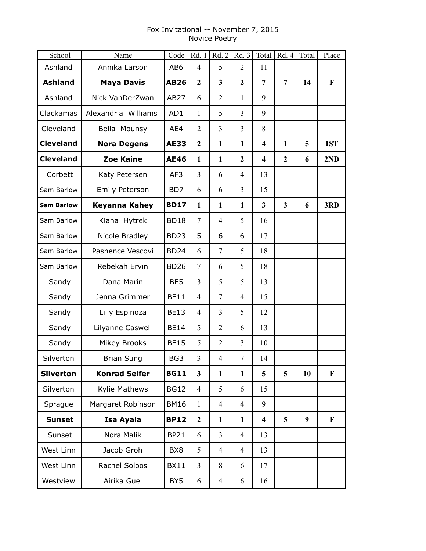# Fox Invitational -- November 7, 2015 Novice Poetry

| School            | Name                 | Code            | Rd. 1            | Rd.2           | Rd. 3          | Total                   | Rd. 4          | Total | Place        |
|-------------------|----------------------|-----------------|------------------|----------------|----------------|-------------------------|----------------|-------|--------------|
| Ashland           | Annika Larson        | AB <sub>6</sub> | $\overline{4}$   | 5              | 2              | 11                      |                |       |              |
| <b>Ashland</b>    | <b>Maya Davis</b>    | <b>AB26</b>     | $\mathbf{2}$     | 3              | $\overline{2}$ | $\overline{7}$          | $\overline{7}$ | 14    | $\mathbf{F}$ |
| Ashland           | Nick VanDerZwan      | <b>AB27</b>     | 6                | $\overline{2}$ | 1              | 9                       |                |       |              |
| Clackamas         | Alexandria Williams  | AD1             | 1                | 5              | $\overline{3}$ | 9                       |                |       |              |
| Cleveland         | Bella Mounsy         | AE4             | $\overline{2}$   | 3              | 3              | 8                       |                |       |              |
| <b>Cleveland</b>  | <b>Nora Degens</b>   | <b>AE33</b>     | $\boldsymbol{2}$ | $\mathbf{1}$   | $\mathbf{1}$   | $\boldsymbol{4}$        | $\mathbf{1}$   | 5     | 1ST          |
| <b>Cleveland</b>  | <b>Zoe Kaine</b>     | <b>AE46</b>     | $\mathbf{1}$     | 1              | $\overline{2}$ | $\overline{\mathbf{4}}$ | $\overline{2}$ | 6     | 2ND          |
| Corbett           | Katy Petersen        | AF3             | $\overline{3}$   | 6              | $\overline{4}$ | 13                      |                |       |              |
| Sam Barlow        | Emily Peterson       | BD7             | 6                | 6              | $\overline{3}$ | 15                      |                |       |              |
| <b>Sam Barlow</b> | Keyanna Kahey        | <b>BD17</b>     | 1                | $\mathbf{1}$   | $\mathbf{1}$   | $\overline{\mathbf{3}}$ | 3              | 6     | 3RD          |
| Sam Barlow        | Kiana Hytrek         | <b>BD18</b>     | $\overline{7}$   | 4              | 5              | 16                      |                |       |              |
| Sam Barlow        | Nicole Bradley       | <b>BD23</b>     | 5                | 6              | 6              | 17                      |                |       |              |
| Sam Barlow        | Pashence Vescovi     | <b>BD24</b>     | 6                | 7              | 5              | 18                      |                |       |              |
| Sam Barlow        | Rebekah Ervin        | <b>BD26</b>     | $\overline{7}$   | 6              | 5              | 18                      |                |       |              |
| Sandy             | Dana Marin           | BE5             | $\overline{3}$   | 5              | 5              | 13                      |                |       |              |
| Sandy             | Jenna Grimmer        | <b>BE11</b>     | $\overline{4}$   | 7              | 4              | 15                      |                |       |              |
| Sandy             | Lilly Espinoza       | <b>BE13</b>     | $\overline{4}$   | 3              | 5              | 12                      |                |       |              |
| Sandy             | Lilyanne Caswell     | <b>BE14</b>     | 5                | $\overline{2}$ | 6              | 13                      |                |       |              |
| Sandy             | Mikey Brooks         | <b>BE15</b>     | 5                | $\overline{2}$ | 3              | 10                      |                |       |              |
| Silverton         | <b>Brian Sung</b>    | BG3             | 3                | $\overline{4}$ | 7              | 14                      |                |       |              |
| <b>Silverton</b>  | <b>Konrad Seifer</b> | <b>BG11</b>     | 3                | $\mathbf{1}$   | $\mathbf{1}$   | 5                       | 5              | 10    | F            |
| Silverton         | Kylie Mathews        | <b>BG12</b>     | $\overline{4}$   | 5              | 6              | 15                      |                |       |              |
| Sprague           | Margaret Robinson    | <b>BM16</b>     | $\mathbf{1}$     | $\overline{4}$ | $\overline{4}$ | 9                       |                |       |              |
| <b>Sunset</b>     | Isa Ayala            | <b>BP12</b>     | $\boldsymbol{2}$ | $\mathbf{1}$   | $\mathbf{1}$   | $\overline{\mathbf{4}}$ | 5              | 9     | F            |
| Sunset            | Nora Malik           | <b>BP21</b>     | 6                | 3              | $\overline{4}$ | 13                      |                |       |              |
| West Linn         | Jacob Groh           | BX <sub>8</sub> | 5                | $\overline{4}$ | $\overline{4}$ | 13                      |                |       |              |
| West Linn         | Rachel Soloos        | <b>BX11</b>     | 3                | 8              | 6              | 17                      |                |       |              |
| Westview          | Airika Guel          | BY5             | 6                | 4              | 6              | 16                      |                |       |              |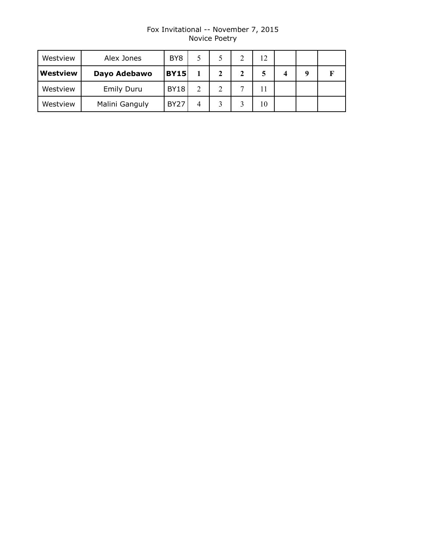# Fox Invitational -- November 7, 2015 Novice Poetry

| Westview        | Alex Jones        | BY <sub>8</sub> |               |   |                          |    |   |  |
|-----------------|-------------------|-----------------|---------------|---|--------------------------|----|---|--|
| <b>Westview</b> | Dayo Adebawo      | <b>BY15</b>     |               | 2 | 2                        |    | 4 |  |
| Westview        | <b>Emily Duru</b> | <b>BY18</b>     | $\mathcal{D}$ | າ | $\overline{\phantom{0}}$ |    |   |  |
| Westview        | Malini Ganguly    | <b>BY27</b>     | 4             |   |                          | 10 |   |  |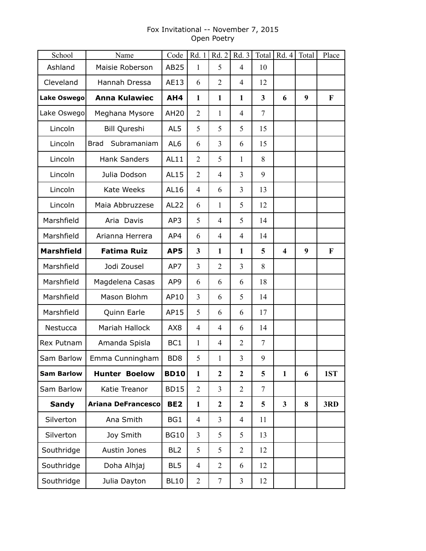# Fox Invitational -- November 7, 2015 Open Poetry

| School            | Name                       | Code            | Rd. 1          | Rd.2             | Rd. 3          |        | Total   $Rd. 4$         | Total | Place       |
|-------------------|----------------------------|-----------------|----------------|------------------|----------------|--------|-------------------------|-------|-------------|
| Ashland           | Maisie Roberson            | AB25            | 1              | 5                | $\overline{4}$ | 10     |                         |       |             |
| Cleveland         | Hannah Dressa              | AE13            | 6              | $\overline{2}$   | $\overline{4}$ | 12     |                         |       |             |
| Lake Oswego       | <b>Anna Kulawiec</b>       | AH4             | $\mathbf{1}$   | $\mathbf{1}$     | $\mathbf{1}$   | 3      | 6                       | 9     | $\mathbf F$ |
| Lake Oswego       | Meghana Mysore             | <b>AH20</b>     | $\overline{2}$ | 1                | $\overline{4}$ | 7      |                         |       |             |
| Lincoln           | Bill Qureshi               | AL5             | 5              | 5                | 5              | 15     |                         |       |             |
| Lincoln           | Subramaniam<br><b>Brad</b> | AL <sub>6</sub> | 6              | 3                | 6              | 15     |                         |       |             |
| Lincoln           | <b>Hank Sanders</b>        | AL11            | $\overline{2}$ | 5                | 1              | 8      |                         |       |             |
| Lincoln           | Julia Dodson               | AL15            | $\overline{2}$ | $\overline{4}$   | $\overline{3}$ | 9      |                         |       |             |
| Lincoln           | Kate Weeks                 | AL16            | $\overline{4}$ | 6                | $\overline{3}$ | 13     |                         |       |             |
| Lincoln           | Maia Abbruzzese            | AL22            | 6              | 1                | 5              | 12     |                         |       |             |
| Marshfield        | Aria Davis                 | AP3             | 5              | 4                | 5              | 14     |                         |       |             |
| Marshfield        | Arianna Herrera            | AP4             | 6              | 4                | $\overline{4}$ | 14     |                         |       |             |
| <b>Marshfield</b> | <b>Fatima Ruiz</b>         | AP5             | 3              | $\mathbf{1}$     | $\mathbf{1}$   | 5      | $\overline{\mathbf{4}}$ | 9     | $\mathbf F$ |
| Marshfield        | Jodi Zousel                | AP7             | 3              | $\overline{2}$   | $\overline{3}$ | 8      |                         |       |             |
| Marshfield        | Magdelena Casas            | AP9             | 6              | 6                | 6              | 18     |                         |       |             |
| Marshfield        | Mason Blohm                | AP10            | 3              | 6                | 5              | 14     |                         |       |             |
| Marshfield        | Quinn Earle                | AP15            | 5              | 6                | 6              | 17     |                         |       |             |
| Nestucca          | Mariah Hallock             | AX <sub>8</sub> | 4              | 4                | 6              | 14     |                         |       |             |
| Rex Putnam        | Amanda Spisla              | BC1             | $\mathbf{1}$   | 4                | $\overline{2}$ | $\tau$ |                         |       |             |
| Sam Barlow        | Emma Cunningham            | BD <sub>8</sub> | 5              | $\mathbf{1}$     | 3              | 9      |                         |       |             |
| <b>Sam Barlow</b> | <b>Hunter Boelow</b>       | <b>BD10</b>     | $\mathbf{1}$   | $\boldsymbol{2}$ | $\mathbf{2}$   | 5      | $\mathbf{1}$            | 6     | 1ST         |
| Sam Barlow        | Katie Treanor              | <b>BD15</b>     | $\overline{2}$ | 3                | $\overline{2}$ | 7      |                         |       |             |
| <b>Sandy</b>      | <b>Ariana DeFrancesco</b>  | BE <sub>2</sub> | $\mathbf{1}$   | $\mathbf{2}$     | $\overline{2}$ | 5      | $\overline{\mathbf{3}}$ | 8     | 3RD         |
| Silverton         | Ana Smith                  | BG1             | $\overline{4}$ | 3                | $\overline{4}$ | 11     |                         |       |             |
| Silverton         | Joy Smith                  | <b>BG10</b>     | 3              | 5                | 5              | 13     |                         |       |             |
| Southridge        | Austin Jones               | BL <sub>2</sub> | 5              | 5                | $\overline{2}$ | 12     |                         |       |             |
| Southridge        | Doha Alhjaj                | BL <sub>5</sub> | $\overline{4}$ | $\overline{2}$   | 6              | 12     |                         |       |             |
| Southridge        | Julia Dayton               | <b>BL10</b>     | $\overline{2}$ | $\overline{7}$   | $\overline{3}$ | 12     |                         |       |             |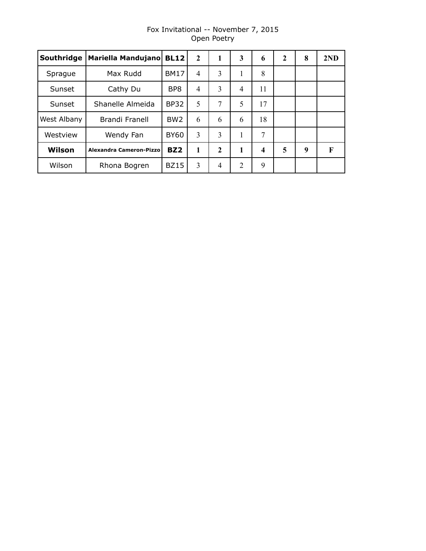| Southridge  | Mariella Mandujano             | <b>BL12</b>     | $\mathbf{2}$ | 1            | 3              | 6  | $\mathbf{2}$ | 8 | 2ND |
|-------------|--------------------------------|-----------------|--------------|--------------|----------------|----|--------------|---|-----|
| Sprague     | Max Rudd                       | <b>BM17</b>     | 4            | 3            | 1              | 8  |              |   |     |
| Sunset      | Cathy Du                       | BP <sub>8</sub> | 4            | 3            | $\overline{4}$ | 11 |              |   |     |
| Sunset      | Shanelle Almeida               | <b>BP32</b>     | 5            | 7            | 5              | 17 |              |   |     |
| West Albany | Brandi Franell                 | BW <sub>2</sub> | 6            | 6            | 6              | 18 |              |   |     |
| Westview    | Wendy Fan                      | <b>BY60</b>     | 3            | 3            | 1              | 7  |              |   |     |
| Wilson      | <b>Alexandra Cameron-Pizzo</b> | BZ <sub>2</sub> | 1            | $\mathbf{2}$ | 1              | 4  | 5            | 9 | F   |
| Wilson      | Rhona Bogren                   | <b>BZ15</b>     | 3            | 4            | $\overline{2}$ | 9  |              |   |     |

# Fox Invitational -- November 7, 2015 Open Poetry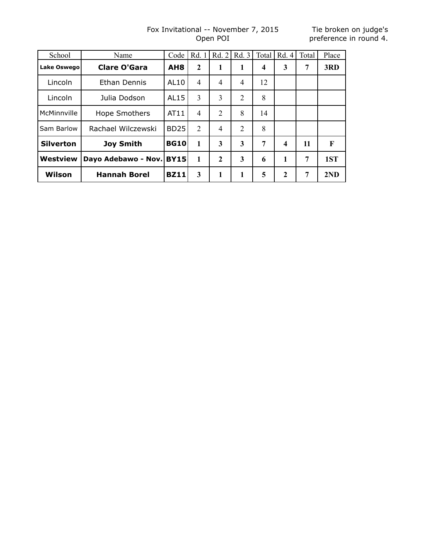#### Fox Invitational -- November 7, 2015 Open POI

| School           | Name                | Code            | Rd. 1          | Rd. 2          | Rd. 3 | Total          | Rd. 4 | Total | Place |
|------------------|---------------------|-----------------|----------------|----------------|-------|----------------|-------|-------|-------|
| Lake Oswego      | <b>Clare O'Gara</b> | AH <sub>8</sub> | $\mathbf{2}$   | 1              | 1     | 4              | 3     | 7     | 3RD   |
| Lincoln          | Ethan Dennis        | AL10            | 4              | 4              | 4     | 12             |       |       |       |
| Lincoln          | Julia Dodson        | AL15            | 3              | 3              | 2     | 8              |       |       |       |
| McMinnville      | Hope Smothers       | AT11            | 4              | 2              | 8     | 14             |       |       |       |
| Sam Barlow       | Rachael Wilczewski  | <b>BD25</b>     | $\overline{2}$ | $\overline{4}$ | 2     | 8              |       |       |       |
| <b>Silverton</b> | <b>Joy Smith</b>    | <b>BG10</b>     | 1              | 3              | 3     | $\overline{7}$ | 4     | 11    | F     |
| Westview         | Dayo Adebawo - Nov. | <b>BY15</b>     | 1              | $\overline{2}$ | 3     | 6              | 1     | 7     | 1ST   |
| Wilson           | <b>Hannah Borel</b> | <b>BZ11</b>     | 3              | 1              |       | 5              | 2     | 7     | 2ND   |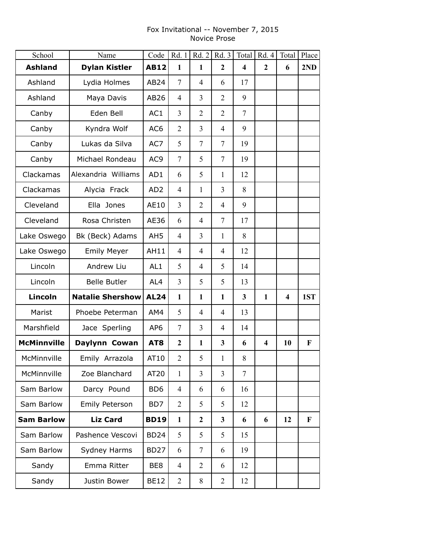## Fox Invitational -- November 7, 2015 Novice Prose

| School             | Name                    | Code            | Rd. 1            | Rd. 2          | Rd.3           |                         | Total   Rd. 4           | Total                   | Place       |
|--------------------|-------------------------|-----------------|------------------|----------------|----------------|-------------------------|-------------------------|-------------------------|-------------|
| <b>Ashland</b>     | <b>Dylan Kistler</b>    | <b>AB12</b>     | $\mathbf{1}$     | $\mathbf{1}$   | $\mathbf{2}$   | $\overline{\mathbf{4}}$ | $\boldsymbol{2}$        | 6                       | 2ND         |
| Ashland            | Lydia Holmes            | AB24            | $\tau$           | $\overline{4}$ | 6              | 17                      |                         |                         |             |
| Ashland            | Maya Davis              | AB26            | $\overline{4}$   | 3              | $\overline{2}$ | 9                       |                         |                         |             |
| Canby              | Eden Bell               | AC1             | 3                | $\overline{2}$ | $\overline{2}$ | 7                       |                         |                         |             |
| Canby              | Kyndra Wolf             | AC <sub>6</sub> | $\overline{2}$   | 3              | $\overline{4}$ | 9                       |                         |                         |             |
| Canby              | Lukas da Silva          | AC7             | 5                | $\tau$         | $\overline{7}$ | 19                      |                         |                         |             |
| Canby              | Michael Rondeau         | AC <sub>9</sub> | $\tau$           | 5              | $\overline{7}$ | 19                      |                         |                         |             |
| Clackamas          | Alexandria Williams     | AD1             | 6                | 5              | 1              | 12                      |                         |                         |             |
| Clackamas          | Alycia Frack            | AD <sub>2</sub> | $\overline{4}$   | $\mathbf{1}$   | $\overline{3}$ | 8                       |                         |                         |             |
| Cleveland          | Ella Jones              | AE10            | 3                | $\overline{2}$ | $\overline{4}$ | 9                       |                         |                         |             |
| Cleveland          | Rosa Christen           | AE36            | 6                | $\overline{4}$ | $\tau$         | 17                      |                         |                         |             |
| Lake Oswego        | Bk (Beck) Adams         | AH <sub>5</sub> | $\overline{4}$   | $\overline{3}$ | 1              | 8                       |                         |                         |             |
| Lake Oswego        | <b>Emily Meyer</b>      | AH11            | 4                | $\overline{4}$ | $\overline{4}$ | 12                      |                         |                         |             |
| Lincoln            | Andrew Liu              | AL <sub>1</sub> | 5                | $\overline{4}$ | 5              | 14                      |                         |                         |             |
| Lincoln            | <b>Belle Butler</b>     | AL4             | $\overline{3}$   | 5              | 5              | 13                      |                         |                         |             |
| Lincoln            | <b>Natalie Shershow</b> | <b>AL24</b>     | $\mathbf{1}$     | $\mathbf{1}$   | $\mathbf{1}$   | 3                       | $\mathbf{1}$            | $\overline{\mathbf{4}}$ | 1ST         |
| Marist             | Phoebe Peterman         | AM4             | 5                | $\overline{4}$ | $\overline{4}$ | 13                      |                         |                         |             |
| Marshfield         | Jace Sperling           | AP <sub>6</sub> | $\tau$           | $\overline{3}$ | $\overline{4}$ | 14                      |                         |                         |             |
| <b>McMinnville</b> | Daylynn Cowan           | AT <sub>8</sub> | $\boldsymbol{2}$ | $\mathbf{1}$   | 3              | 6                       | $\overline{\mathbf{4}}$ | 10                      | $\mathbf F$ |
| McMinnville        | Emily Arrazola          | AT10            | $\overline{2}$   | 5              | 1              | 8                       |                         |                         |             |
| McMinnville        | Zoe Blanchard           | AT20            | $\mathbf{1}$     | $\overline{3}$ | $\overline{3}$ | $\tau$                  |                         |                         |             |
| Sam Barlow         | Darcy Pound             | BD <sub>6</sub> | 4                | 6              | 6              | 16                      |                         |                         |             |
| Sam Barlow         | Emily Peterson          | BD7             | $\overline{2}$   | 5              | 5              | 12                      |                         |                         |             |
| <b>Sam Barlow</b>  | <b>Liz Card</b>         | <b>BD19</b>     | $\mathbf{1}$     | $\overline{2}$ | $\mathbf{3}$   | 6                       | 6                       | 12                      | $\mathbf F$ |
| Sam Barlow         | Pashence Vescovi        | <b>BD24</b>     | 5                | 5              | 5              | 15                      |                         |                         |             |
| Sam Barlow         | Sydney Harms            | <b>BD27</b>     | 6                | 7              | 6              | 19                      |                         |                         |             |
| Sandy              | Emma Ritter             | BE8             | $\overline{4}$   | $\overline{2}$ | 6              | 12                      |                         |                         |             |
| Sandy              | Justin Bower            | <b>BE12</b>     | $\overline{2}$   | 8              | $\overline{2}$ | 12                      |                         |                         |             |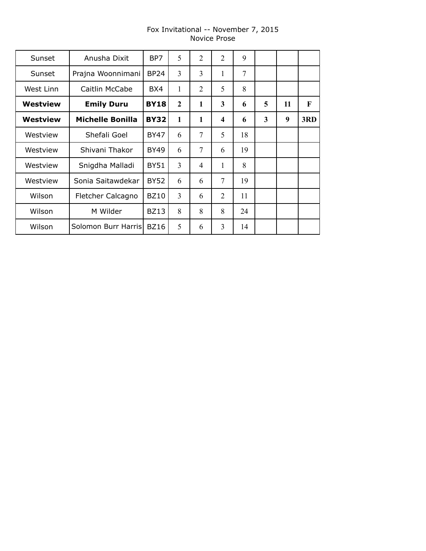# Fox Invitational -- November 7, 2015 Novice Prose

| Sunset    | Anusha Dixit            | BP7         | 5              | 2              | $\overline{2}$  | 9  |                         |    |     |
|-----------|-------------------------|-------------|----------------|----------------|-----------------|----|-------------------------|----|-----|
| Sunset    | Prajna Woonnimani       | <b>BP24</b> | 3              | 3              | 1               | 7  |                         |    |     |
| West Linn | Caitlin McCabe          | BX4         | 1              | 2              | 5               | 8  |                         |    |     |
| Westview  | <b>Emily Duru</b>       | <b>BY18</b> | $\overline{2}$ | $\mathbf{1}$   | 3               | 6  | 5                       | 11 | F   |
| Westview  | <b>Michelle Bonilla</b> | <b>BY32</b> | $\mathbf{1}$   | $\mathbf{1}$   | 4               | 6  | $\overline{\mathbf{3}}$ | 9  | 3RD |
| Westview  | Shefali Goel            | <b>BY47</b> | 6              | $\overline{7}$ | 5               | 18 |                         |    |     |
| Westview  | Shivani Thakor          | <b>BY49</b> | 6              | 7              | 6               | 19 |                         |    |     |
| Westview  | Snigdha Malladi         | <b>BY51</b> | 3              | 4              | 1               | 8  |                         |    |     |
| Westview  | Sonia Saitawdekar       | <b>BY52</b> | 6              | 6              | $7\overline{ }$ | 19 |                         |    |     |
| Wilson    | Fletcher Calcagno       | <b>BZ10</b> | 3              | 6              | 2               | 11 |                         |    |     |
| Wilson    | M Wilder                | <b>BZ13</b> | 8              | 8              | 8               | 24 |                         |    |     |
| Wilson    | Solomon Burr Harris     | <b>BZ16</b> | 5              | 6              | 3               | 14 |                         |    |     |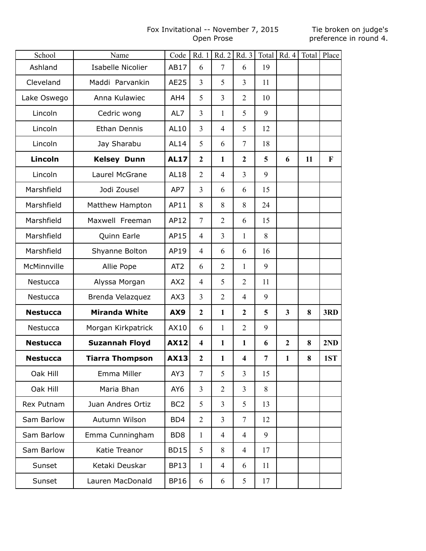# Fox Invitational -- November 7, 2015 Open Prose

| School          | Name                     | Code            | Rd. 1                   | Rd. 2          | Rd. 3                   | Total | Rd.4           |    | Total Place  |
|-----------------|--------------------------|-----------------|-------------------------|----------------|-------------------------|-------|----------------|----|--------------|
| Ashland         | <b>Isabelle Nicolier</b> | AB17            | 6                       | $\overline{7}$ | 6                       | 19    |                |    |              |
| Cleveland       | Maddi Parvankin          | AE25            | $\overline{3}$          | 5              | $\overline{3}$          | 11    |                |    |              |
| Lake Oswego     | Anna Kulawiec            | AH4             | 5                       | 3              | $\overline{2}$          | 10    |                |    |              |
| Lincoln         | Cedric wong              | AL7             | 3                       | 1              | 5                       | 9     |                |    |              |
| Lincoln         | <b>Ethan Dennis</b>      | AL10            | $\overline{3}$          | $\overline{4}$ | 5                       | 12    |                |    |              |
| Lincoln         | Jay Sharabu              | <b>AL14</b>     | 5                       | 6              | $\tau$                  | 18    |                |    |              |
| Lincoln         | <b>Kelsey Dunn</b>       | <b>AL17</b>     | $\overline{2}$          | $\mathbf{1}$   | $\overline{2}$          | 5     | 6              | 11 | $\mathbf{F}$ |
| Lincoln         | Laurel McGrane           | <b>AL18</b>     | $\overline{2}$          | $\overline{4}$ | $\overline{3}$          | 9     |                |    |              |
| Marshfield      | Jodi Zousel              | AP7             | $\overline{3}$          | 6              | 6                       | 15    |                |    |              |
| Marshfield      | Matthew Hampton          | AP11            | 8                       | 8              | 8                       | 24    |                |    |              |
| Marshfield      | Maxwell Freeman          | AP12            | $7\phantom{.0}$         | $\overline{2}$ | 6                       | 15    |                |    |              |
| Marshfield      | Quinn Earle              | AP15            | $\overline{4}$          | $\overline{3}$ | 1                       | 8     |                |    |              |
| Marshfield      | Shyanne Bolton           | AP19            | $\overline{4}$          | 6              | 6                       | 16    |                |    |              |
| McMinnville     | Allie Pope               | AT <sub>2</sub> | 6                       | $\overline{2}$ | 1                       | 9     |                |    |              |
| Nestucca        | Alyssa Morgan            | AX2             | $\overline{4}$          | 5              | $\overline{2}$          | 11    |                |    |              |
| Nestucca        | Brenda Velazquez         | AX3             | $\overline{3}$          | $\overline{2}$ | $\overline{4}$          | 9     |                |    |              |
| <b>Nestucca</b> | <b>Miranda White</b>     | AX9             | $\overline{2}$          | $\mathbf{1}$   | $\boldsymbol{2}$        | 5     | $\mathbf{3}$   | 8  | 3RD          |
| Nestucca        | Morgan Kirkpatrick       | AX10            | 6                       | $\mathbf{1}$   | $\overline{2}$          | 9     |                |    |              |
| <b>Nestucca</b> | <b>Suzannah Floyd</b>    | <b>AX12</b>     | $\overline{\mathbf{4}}$ | $\mathbf{1}$   | $\mathbf{1}$            | 6     | $\overline{2}$ | 8  | 2ND          |
| <b>Nestucca</b> | <b>Tiarra Thompson</b>   | <b>AX13</b>     | $\mathbf 2$             | 1              | $\overline{\mathbf{4}}$ | 7     | 1              | 8  | 1ST          |
| Oak Hill        | Emma Miller              | AY3             | $\tau$                  | 5              | $\overline{3}$          | 15    |                |    |              |
| Oak Hill        | Maria Bhan               | AY <sub>6</sub> | $\overline{3}$          | $\overline{2}$ | 3                       | 8     |                |    |              |
| Rex Putnam      | Juan Andres Ortiz        | BC <sub>2</sub> | 5                       | $\overline{3}$ | 5                       | 13    |                |    |              |
| Sam Barlow      | Autumn Wilson            | BD4             | $\overline{2}$          | $\overline{3}$ | $\tau$                  | 12    |                |    |              |
| Sam Barlow      | Emma Cunningham          | BD <sub>8</sub> | $\mathbf{1}$            | 4              | $\overline{4}$          | 9     |                |    |              |
| Sam Barlow      | Katie Treanor            | <b>BD15</b>     | 5                       | 8              | 4                       | 17    |                |    |              |
| Sunset          | Ketaki Deuskar           | <b>BP13</b>     | $\mathbf{1}$            | 4              | 6                       | 11    |                |    |              |
| Sunset          | Lauren MacDonald         | <b>BP16</b>     | 6                       | 6              | 5                       | 17    |                |    |              |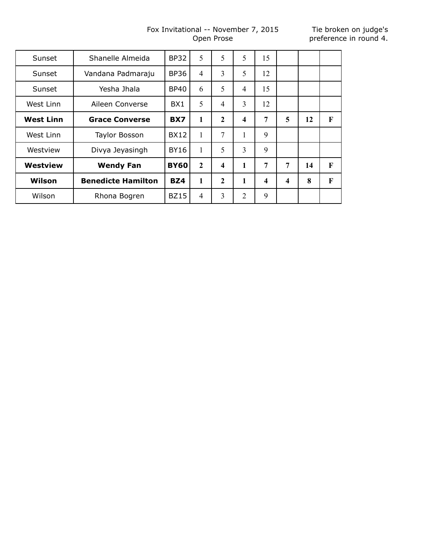# Fox Invitational -- November 7, 2015 Open Prose

| Sunset           | Shanelle Almeida          | <b>BP32</b>     | 5              | 5                       | 5                       | 15                      |                         |    |   |
|------------------|---------------------------|-----------------|----------------|-------------------------|-------------------------|-------------------------|-------------------------|----|---|
| Sunset           | Vandana Padmaraju         | <b>BP36</b>     | $\overline{4}$ | 3                       | 5                       | 12                      |                         |    |   |
| Sunset           | Yesha Jhala               | <b>BP40</b>     | 6              | 5                       | $\overline{4}$          | 15                      |                         |    |   |
| West Linn        | Aileen Converse           | BX <sub>1</sub> | 5              | 4                       | 3                       | 12                      |                         |    |   |
| <b>West Linn</b> | <b>Grace Converse</b>     | BX7             | 1              | $\overline{2}$          | $\overline{\mathbf{4}}$ | 7                       | 5                       | 12 | F |
| West Linn        | <b>Taylor Bosson</b>      | <b>BX12</b>     | 1              | 7                       |                         | 9                       |                         |    |   |
| Westview         | Divya Jeyasingh           | <b>BY16</b>     | 1              | 5                       | 3                       | 9                       |                         |    |   |
| <b>Westview</b>  | <b>Wendy Fan</b>          | <b>BY60</b>     | $\mathbf{2}$   | $\overline{\mathbf{4}}$ | 1                       | 7                       | 7                       | 14 | F |
| Wilson           | <b>Benedicte Hamilton</b> | BZ4             | 1              | $\mathbf{2}$            | 1                       | $\overline{\mathbf{4}}$ | $\overline{\mathbf{4}}$ | 8  | F |
| Wilson           | Rhona Bogren              | <b>BZ15</b>     | $\overline{4}$ | 3                       | $\overline{2}$          | 9                       |                         |    |   |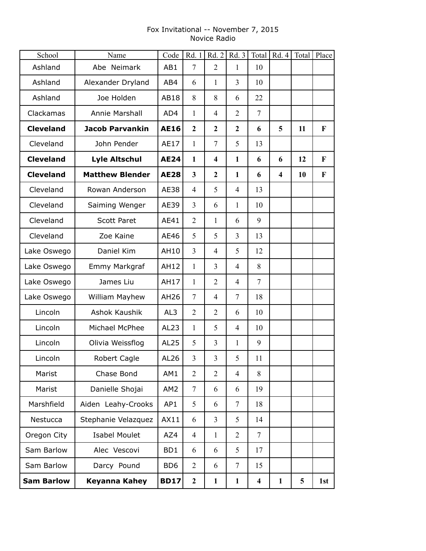# Fox Invitational -- November 7, 2015 Novice Radio

| School            | Name                   | Code             | Rd. 1                   |                         | Rd. 2   Rd. 3  |                         | Total   $Rd. 4$         |    | Total   Place |
|-------------------|------------------------|------------------|-------------------------|-------------------------|----------------|-------------------------|-------------------------|----|---------------|
| Ashland           | Abe Neimark            | AB1              | $\overline{7}$          | $\overline{2}$          | $\mathbf{1}$   | 10                      |                         |    |               |
| Ashland           | Alexander Dryland      | AB4              | 6                       | $\mathbf{1}$            | $\overline{3}$ | 10                      |                         |    |               |
| Ashland           | Joe Holden             | AB18             | 8                       | 8                       | 6              | 22                      |                         |    |               |
| Clackamas         | Annie Marshall         | AD4              | 1                       | $\overline{4}$          | $\overline{2}$ | $\overline{7}$          |                         |    |               |
| <b>Cleveland</b>  | <b>Jacob Parvankin</b> | <b>AE16</b>      | $\boldsymbol{2}$        | $\mathbf{2}$            | $\mathbf{2}$   | 6                       | 5                       | 11 | F             |
| Cleveland         | John Pender            | AE17             | $\mathbf{1}$            | $\overline{7}$          | 5              | 13                      |                         |    |               |
| <b>Cleveland</b>  | <b>Lyle Altschul</b>   | <b>AE24</b>      | $\mathbf{1}$            | $\overline{\mathbf{4}}$ | $\mathbf{1}$   | 6                       | 6                       | 12 | $\mathbf F$   |
| <b>Cleveland</b>  | <b>Matthew Blender</b> | <b>AE28</b>      | $\overline{\mathbf{3}}$ | $\mathbf{2}$            | $\mathbf{1}$   | 6                       | $\overline{\mathbf{4}}$ | 10 | $\mathbf F$   |
| Cleveland         | Rowan Anderson         | <b>AE38</b>      | $\overline{4}$          | 5                       | $\overline{4}$ | 13                      |                         |    |               |
| Cleveland         | Saiming Wenger         | AE39             | 3                       | 6                       | 1              | 10                      |                         |    |               |
| Cleveland         | <b>Scott Paret</b>     | AE41             | $\overline{2}$          | $\mathbf{1}$            | 6              | 9                       |                         |    |               |
| Cleveland         | Zoe Kaine              | AE46             | 5                       | 5                       | 3              | 13                      |                         |    |               |
| Lake Oswego       | Daniel Kim             | AH10             | 3                       | $\overline{4}$          | 5              | 12                      |                         |    |               |
| Lake Oswego       | Emmy Markgraf          | <b>AH12</b>      | $\mathbf{1}$            | $\overline{3}$          | $\overline{4}$ | 8                       |                         |    |               |
| Lake Oswego       | James Liu              | AH17             | $\mathbf{1}$            | $\overline{2}$          | $\overline{4}$ | $\overline{7}$          |                         |    |               |
| Lake Oswego       | William Mayhew         | AH26             | 7                       | $\overline{4}$          | $\tau$         | 18                      |                         |    |               |
| Lincoln           | Ashok Kaushik          | AL3              | $\overline{2}$          | $\overline{2}$          | 6              | 10                      |                         |    |               |
| Lincoln           | Michael McPhee         | AL <sub>23</sub> | $\mathbf{1}$            | 5                       | $\overline{4}$ | 10                      |                         |    |               |
| Lincoln           | Olivia Weissflog       | AL <sub>25</sub> | 5                       | 3                       | $\mathbf{1}$   | 9                       |                         |    |               |
| Lincoln           | Robert Cagle           | AL <sub>26</sub> | 3                       | $\mathfrak{Z}$          | 5              | 11                      |                         |    |               |
| Marist            | Chase Bond             | AM1              | $\overline{2}$          | $\overline{2}$          | $\overline{4}$ | 8                       |                         |    |               |
| Marist            | Danielle Shojai        | AM <sub>2</sub>  | $\overline{7}$          | 6                       | 6              | 19                      |                         |    |               |
| Marshfield        | Aiden Leahy-Crooks     | AP1              | 5                       | 6                       | $\overline{7}$ | 18                      |                         |    |               |
| Nestucca          | Stephanie Velazquez    | AX11             | 6                       | $\overline{3}$          | 5              | 14                      |                         |    |               |
| Oregon City       | <b>Isabel Moulet</b>   | AZ4              | $\overline{4}$          | $\mathbf{1}$            | $\overline{2}$ | $\tau$                  |                         |    |               |
| Sam Barlow        | Alec Vescovi           | BD1              | 6                       | 6                       | 5              | 17                      |                         |    |               |
| Sam Barlow        | Darcy Pound            | BD <sub>6</sub>  | $\overline{2}$          | 6                       | $\tau$         | 15                      |                         |    |               |
| <b>Sam Barlow</b> | <b>Keyanna Kahey</b>   | <b>BD17</b>      | $\boldsymbol{2}$        | $\mathbf{1}$            | $\mathbf{1}$   | $\overline{\mathbf{4}}$ | $\mathbf{1}$            | 5  | 1st           |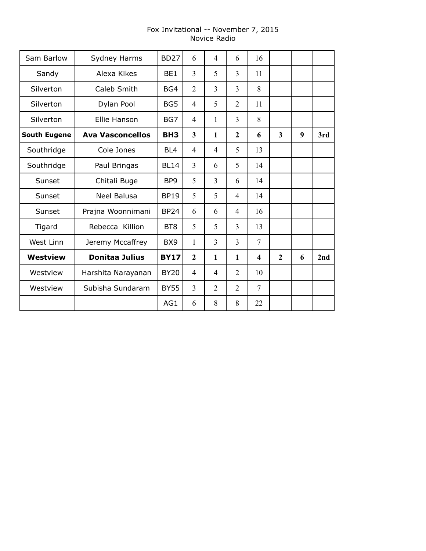# Fox Invitational -- November 7, 2015 Novice Radio

| Sam Barlow          | Sydney Harms            | <b>BD27</b>     | 6                       | $\overline{4}$ | 6              | 16                      |                         |   |     |
|---------------------|-------------------------|-----------------|-------------------------|----------------|----------------|-------------------------|-------------------------|---|-----|
| Sandy               | Alexa Kikes             | BE1             | 3                       | 5              | 3              | 11                      |                         |   |     |
| Silverton           | Caleb Smith             | BG4             | $\overline{2}$          | $\overline{3}$ | 3              | 8                       |                         |   |     |
| Silverton           | Dylan Pool              | BG5             | $\overline{4}$          | 5              | $\overline{2}$ | 11                      |                         |   |     |
| Silverton           | Ellie Hanson            | BG7             | $\overline{4}$          | 1              | 3              | 8                       |                         |   |     |
| <b>South Eugene</b> | <b>Ava Vasconcellos</b> | BH <sub>3</sub> | $\overline{\mathbf{3}}$ | $\mathbf{1}$   | $\overline{2}$ | 6                       | $\overline{\mathbf{3}}$ | 9 | 3rd |
| Southridge          | Cole Jones              | BL <sub>4</sub> | $\overline{4}$          | 4              | 5              | 13                      |                         |   |     |
| Southridge          | Paul Bringas            | <b>BL14</b>     | 3                       | 6              | 5              | 14                      |                         |   |     |
| Sunset              | Chitali Buge            | BP <sub>9</sub> | 5                       | $\overline{3}$ | 6              | 14                      |                         |   |     |
| Sunset              | <b>Neel Balusa</b>      | <b>BP19</b>     | 5                       | 5              | $\overline{4}$ | 14                      |                         |   |     |
| Sunset              | Prajna Woonnimani       | <b>BP24</b>     | 6                       | 6              | $\overline{4}$ | 16                      |                         |   |     |
| Tigard              | Rebecca Killion         | BT <sub>8</sub> | 5                       | 5              | $\overline{3}$ | 13                      |                         |   |     |
| West Linn           | Jeremy Mccaffrey        | BX <sub>9</sub> | 1                       | 3              | 3              | $\overline{7}$          |                         |   |     |
| <b>Westview</b>     | <b>Donitaa Julius</b>   | <b>BY17</b>     | $\overline{2}$          | $\mathbf{1}$   | $\mathbf{1}$   | $\overline{\mathbf{4}}$ | $\mathbf{2}$            | 6 | 2nd |
| Westview            | Harshita Narayanan      | <b>BY20</b>     | $\overline{4}$          | $\overline{4}$ | $\overline{2}$ | 10                      |                         |   |     |
| Westview            | Subisha Sundaram        | <b>BY55</b>     | $\overline{3}$          | $\overline{2}$ | $\overline{2}$ | $\overline{7}$          |                         |   |     |
|                     |                         | AG1             | 6                       | 8              | 8              | 22                      |                         |   |     |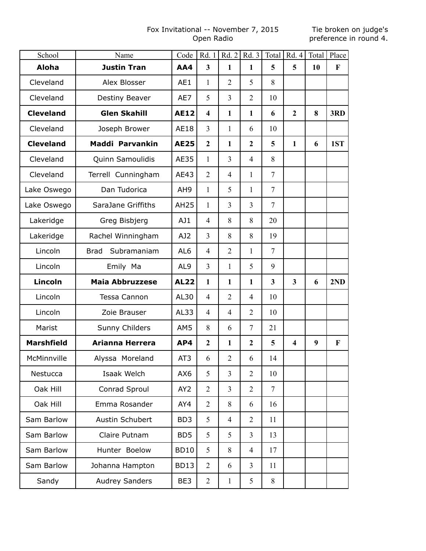# Fox Invitational -- November 7, 2015 Open Radio

| School            | Name                       | Code            | Rd. 1                   | Rd.2           | Rd.3           | Total                   | Rd. 4                   |    | Total   Place |
|-------------------|----------------------------|-----------------|-------------------------|----------------|----------------|-------------------------|-------------------------|----|---------------|
| <b>Aloha</b>      | <b>Justin Tran</b>         | AA4             | $\overline{\mathbf{3}}$ | $\mathbf{1}$   | $\mathbf{1}$   | 5                       | 5                       | 10 | $\mathbf{F}$  |
| Cleveland         | Alex Blosser               | AE1             | $\mathbf{1}$            | $\overline{2}$ | 5              | 8                       |                         |    |               |
| Cleveland         | Destiny Beaver             | AE7             | 5                       | $\overline{3}$ | $\overline{2}$ | 10                      |                         |    |               |
| <b>Cleveland</b>  | <b>Glen Skahill</b>        | <b>AE12</b>     | $\overline{\mathbf{4}}$ | $\mathbf{1}$   | $\mathbf{1}$   | 6                       | $\overline{2}$          | 8  | 3RD           |
| Cleveland         | Joseph Brower              | AE18            | $\overline{3}$          | 1              | 6              | 10                      |                         |    |               |
| <b>Cleveland</b>  | Maddi Parvankin            | <b>AE25</b>     | $\overline{2}$          | $\mathbf{1}$   | $\overline{2}$ | 5                       | $\mathbf{1}$            | 6  | 1ST           |
| Cleveland         | Quinn Samoulidis           | <b>AE35</b>     | $\mathbf{1}$            | 3              | $\overline{4}$ | 8                       |                         |    |               |
| Cleveland         | Terrell Cunningham         | AE43            | $\overline{2}$          | $\overline{4}$ | $\mathbf{1}$   | $\tau$                  |                         |    |               |
| Lake Oswego       | Dan Tudorica               | AH <sub>9</sub> | $\mathbf{1}$            | 5              | $\mathbf{1}$   | $\tau$                  |                         |    |               |
| Lake Oswego       | SaraJane Griffiths         | <b>AH25</b>     | 1                       | 3              | $\overline{3}$ | $\overline{7}$          |                         |    |               |
| Lakeridge         | Greg Bisbjerg              | AJ1             | $\overline{4}$          | 8              | 8              | 20                      |                         |    |               |
| Lakeridge         | Rachel Winningham          | AJ2             | $\overline{3}$          | 8              | 8              | 19                      |                         |    |               |
| Lincoln           | Subramaniam<br><b>Brad</b> | AL <sub>6</sub> | $\overline{4}$          | $\overline{2}$ | 1              | $\overline{7}$          |                         |    |               |
| Lincoln           | Emily Ma                   | AL <sub>9</sub> | $\overline{3}$          | $\mathbf{1}$   | 5              | 9                       |                         |    |               |
| <b>Lincoln</b>    | <b>Maia Abbruzzese</b>     | <b>AL22</b>     | $\mathbf{1}$            | $\mathbf{1}$   | $\mathbf{1}$   | $\overline{\mathbf{3}}$ | $\overline{\mathbf{3}}$ | 6  | 2ND           |
| Lincoln           | Tessa Cannon               | AL30            | $\overline{4}$          | $\overline{2}$ | $\overline{4}$ | 10                      |                         |    |               |
| Lincoln           | Zoie Brauser               | AL33            | $\overline{4}$          | $\overline{4}$ | $\overline{2}$ | 10                      |                         |    |               |
| Marist            | Sunny Childers             | AM5             | 8                       | 6              | $\overline{7}$ | 21                      |                         |    |               |
| <b>Marshfield</b> | Arianna Herrera            | AP4             | $\overline{2}$          | $\mathbf{1}$   | $\overline{2}$ | 5                       | $\overline{\mathbf{4}}$ | 9  | $\mathbf{F}$  |
| McMinnville       | Alyssa Moreland            | AT <sub>3</sub> | 6                       | $\overline{2}$ | 6              | 14                      |                         |    |               |
| Nestucca          | Isaak Welch                | AX6             | 5                       | 3              | $\overline{2}$ | 10                      |                         |    |               |
| Oak Hill          | Conrad Sproul              | AY <sub>2</sub> | $\overline{2}$          | 3              | $\overline{2}$ | $\overline{7}$          |                         |    |               |
| Oak Hill          | Emma Rosander              | AY4             | $\overline{2}$          | 8              | 6              | 16                      |                         |    |               |
| Sam Barlow        | Austin Schubert            | BD <sub>3</sub> | 5                       | $\overline{4}$ | $\overline{2}$ | 11                      |                         |    |               |
| Sam Barlow        | Claire Putnam              | BD <sub>5</sub> | 5                       | 5              | $\overline{3}$ | 13                      |                         |    |               |
| Sam Barlow        | Hunter Boelow              | <b>BD10</b>     | 5                       | 8              | $\overline{4}$ | 17                      |                         |    |               |
| Sam Barlow        | Johanna Hampton            | <b>BD13</b>     | $\overline{2}$          | 6              | $\overline{3}$ | 11                      |                         |    |               |
| Sandy             | <b>Audrey Sanders</b>      | BE3             | $\overline{2}$          | 1              | 5              | 8                       |                         |    |               |